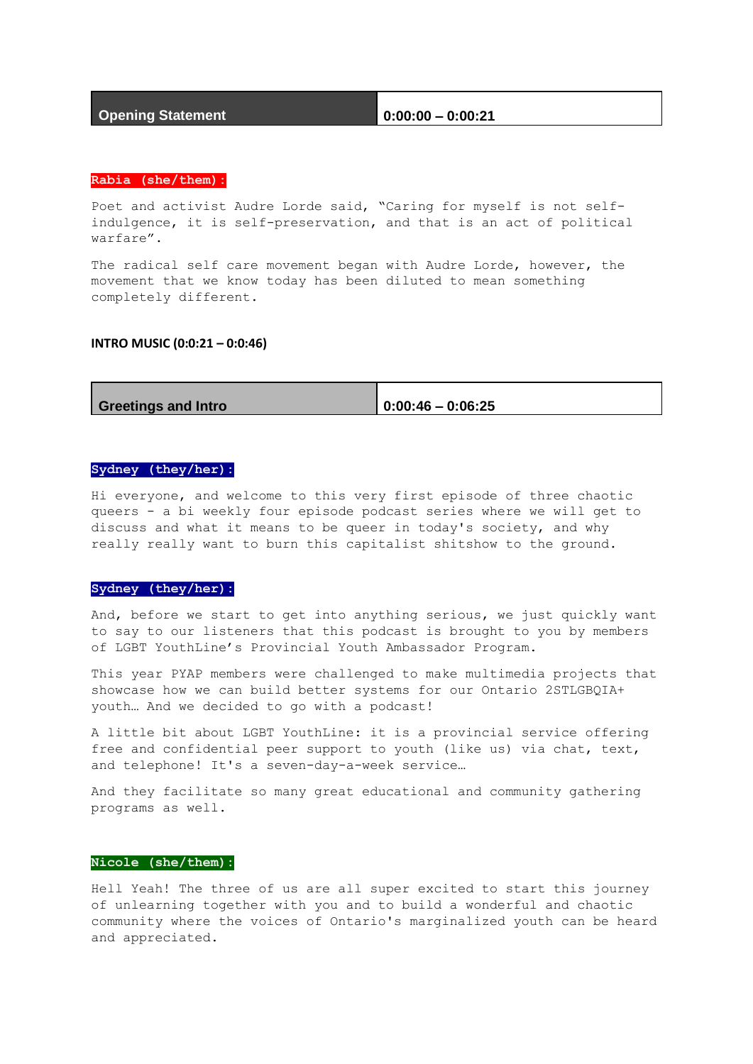## **Opening Statement 0:00:00 – 0:00:21**

#### **Rabia (she/them):**

Poet and activist Audre Lorde said, "Caring for myself is not selfindulgence, it is self-preservation, and that is an act of political warfare".

The radical self care movement began with Audre Lorde, however, the movement that we know today has been diluted to mean something completely different.

#### **INTRO MUSIC (0:0:21 – 0:0:46)**

| <b>Greetings and Intro</b> | $ 0:00:46 - 0:06:25$ |
|----------------------------|----------------------|

## **Sydney (they/her):**

Hi everyone, and welcome to this very first episode of three chaotic queers - a bi weekly four episode podcast series where we will get to discuss and what it means to be queer in today's society, and why really really want to burn this capitalist shitshow to the ground.

#### **Sydney (they/her):**

And, before we start to get into anything serious, we just quickly want to say to our listeners that this podcast is brought to you by members of LGBT YouthLine's Provincial Youth Ambassador Program.

This year PYAP members were challenged to make multimedia projects that showcase how we can build better systems for our Ontario 2STLGBQIA+ youth… And we decided to go with a podcast!

A little bit about LGBT YouthLine: it is a provincial service offering free and confidential peer support to youth (like us) via chat, text, and telephone! It's a seven-day-a-week service…

And they facilitate so many great educational and community gathering programs as well.

## **Nicole (she/them):**

Hell Yeah! The three of us are all super excited to start this journey of unlearning together with you and to build a wonderful and chaotic community where the voices of Ontario's marginalized youth can be heard and appreciated.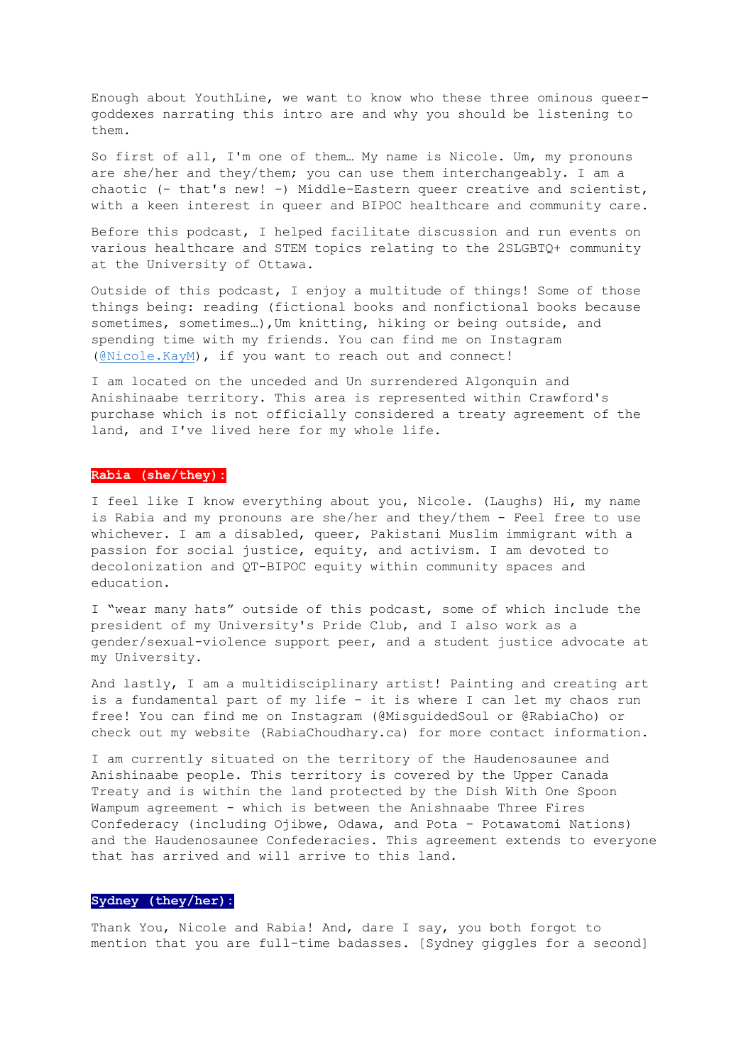Enough about YouthLine, we want to know who these three ominous queergoddexes narrating this intro are and why you should be listening to them.

So first of all, I'm one of them… My name is Nicole. Um, my pronouns are she/her and they/them; you can use them interchangeably. I am a chaotic (- that's new! -) Middle-Eastern queer creative and scientist, with a keen interest in queer and BIPOC healthcare and community care.

Before this podcast, I helped facilitate discussion and run events on various healthcare and STEM topics relating to the 2SLGBTQ+ community at the University of Ottawa.

Outside of this podcast, I enjoy a multitude of things! Some of those things being: reading (fictional books and nonfictional books because sometimes, sometimes…),Um knitting, hiking or being outside, and spending time with my friends. You can find me on Instagram [\(@Nicole.KayM\)](mailto:@Nicole.KayM), if you want to reach out and connect!

I am located on the unceded and Un surrendered Algonquin and Anishinaabe territory. This area is represented within Crawford's purchase which is not officially considered a treaty agreement of the land, and I've lived here for my whole life.

## **Rabia (she/they):**

I feel like I know everything about you, Nicole. (Laughs) Hi, my name is Rabia and my pronouns are she/her and they/them - Feel free to use whichever. I am a disabled, queer, Pakistani Muslim immigrant with a passion for social justice, equity, and activism. I am devoted to decolonization and QT-BIPOC equity within community spaces and education.

I "wear many hats" outside of this podcast, some of which include the president of my University's Pride Club, and I also work as a gender/sexual-violence support peer, and a student justice advocate at my University.

And lastly, I am a multidisciplinary artist! Painting and creating art is a fundamental part of my life - it is where I can let my chaos run free! You can find me on Instagram (@MisguidedSoul or @RabiaCho) or check out my website (RabiaChoudhary.ca) for more contact information.

I am currently situated on the territory of the Haudenosaunee and Anishinaabe people. This territory is covered by the Upper Canada Treaty and is within the land protected by the Dish With One Spoon Wampum agreement - which is between the Anishnaabe Three Fires Confederacy (including Ojibwe, Odawa, and Pota - Potawatomi Nations) and the Haudenosaunee Confederacies. This agreement extends to everyone that has arrived and will arrive to this land.

## **Sydney (they/her):**

Thank You, Nicole and Rabia! And, dare I say, you both forgot to mention that you are full-time badasses. [Sydney giggles for a second]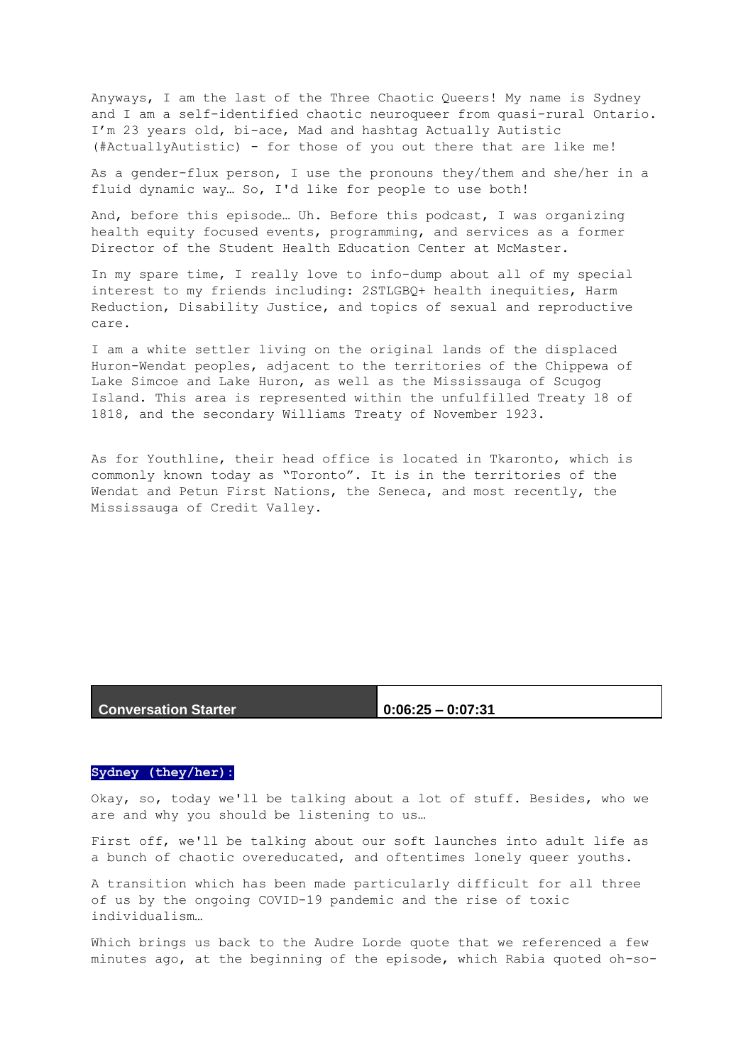Anyways, I am the last of the Three Chaotic Queers! My name is Sydney and I am a self-identified chaotic neuroqueer from quasi-rural Ontario. I'm 23 years old, bi-ace, Mad and hashtag Actually Autistic (#ActuallyAutistic) - for those of you out there that are like me!

As a gender-flux person, I use the pronouns they/them and she/her in a fluid dynamic way… So, I'd like for people to use both!

And, before this episode… Uh. Before this podcast, I was organizing health equity focused events, programming, and services as a former Director of the Student Health Education Center at McMaster.

In my spare time, I really love to info-dump about all of my special interest to my friends including: 2STLGBQ+ health inequities, Harm Reduction, Disability Justice, and topics of sexual and reproductive care.

I am a white settler living on the original lands of the displaced Huron-Wendat peoples, adjacent to the territories of the Chippewa of Lake Simcoe and Lake Huron, as well as the Mississauga of Scugog Island. This area is represented within the unfulfilled Treaty 18 of 1818, and the secondary Williams Treaty of November 1923.

As for Youthline, their head office is located in Tkaronto, which is commonly known today as "Toronto". It is in the territories of the Wendat and Petun First Nations, the Seneca, and most recently, the Mississauga of Credit Valley.

## **Conversation Starter 0:06:25 – 0:07:31**

### **Sydney (they/her):**

Okay, so, today we'll be talking about a lot of stuff. Besides, who we are and why you should be listening to us…

First off, we'll be talking about our soft launches into adult life as a bunch of chaotic overeducated, and oftentimes lonely queer youths.

A transition which has been made particularly difficult for all three of us by the ongoing COVID-19 pandemic and the rise of toxic individualism…

Which brings us back to the Audre Lorde quote that we referenced a few minutes ago, at the beginning of the episode, which Rabia quoted oh-so-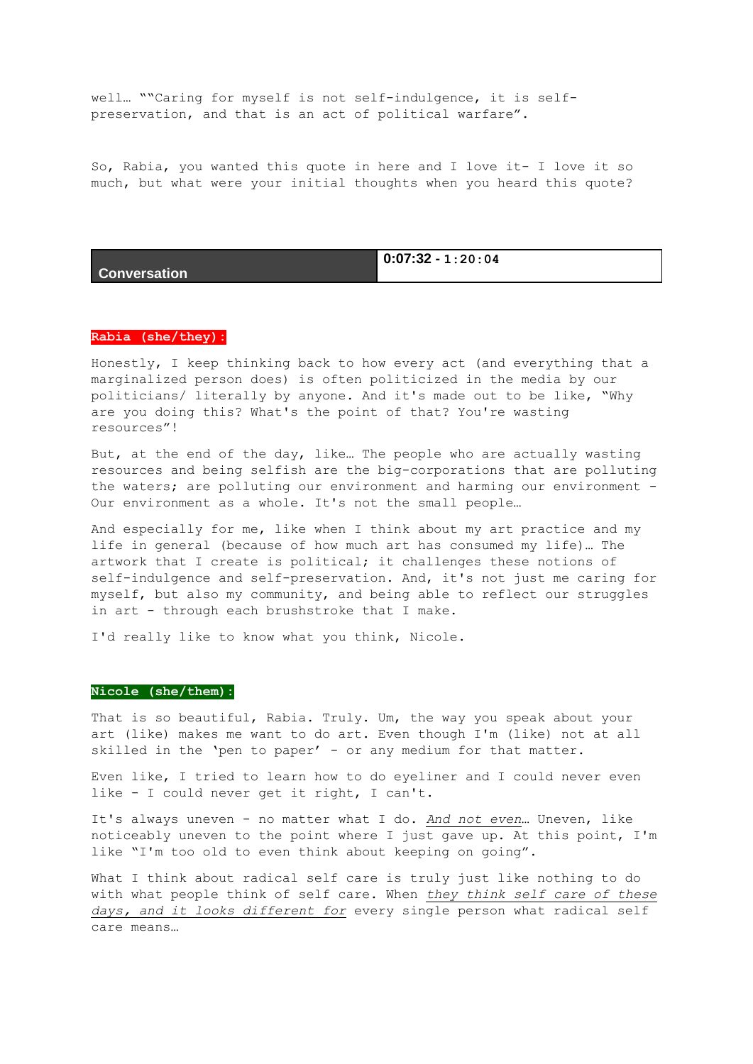well… ""Caring for myself is not self-indulgence, it is selfpreservation, and that is an act of political warfare".

So, Rabia, you wanted this quote in here and I love it- I love it so much, but what were your initial thoughts when you heard this quote?

**Conversation**

**0:07:32 - 1:20:04**

#### **Rabia (she/they):**

Honestly, I keep thinking back to how every act (and everything that a marginalized person does) is often politicized in the media by our politicians/ literally by anyone. And it's made out to be like, "Why are you doing this? What's the point of that? You're wasting resources"!

But, at the end of the day, like… The people who are actually wasting resources and being selfish are the big-corporations that are polluting the waters; are polluting our environment and harming our environment - Our environment as a whole. It's not the small people…

And especially for me, like when I think about my art practice and my life in general (because of how much art has consumed my life)… The artwork that I create is political; it challenges these notions of self-indulgence and self-preservation. And, it's not just me caring for myself, but also my community, and being able to reflect our struggles in art - through each brushstroke that I make.

I'd really like to know what you think, Nicole.

#### **Nicole (she/them):**

That is so beautiful, Rabia. Truly. Um, the way you speak about your art (like) makes me want to do art. Even though I'm (like) not at all skilled in the 'pen to paper' - or any medium for that matter.

Even like, I tried to learn how to do eyeliner and I could never even like - I could never get it right, I can't.

It's always uneven - no matter what I do. *And not even*… Uneven, like noticeably uneven to the point where I just gave up. At this point, I'm like "I'm too old to even think about keeping on going".

What I think about radical self care is truly just like nothing to do with what people think of self care. When *they think self care of these days, and it looks different for* every single person what radical self care means…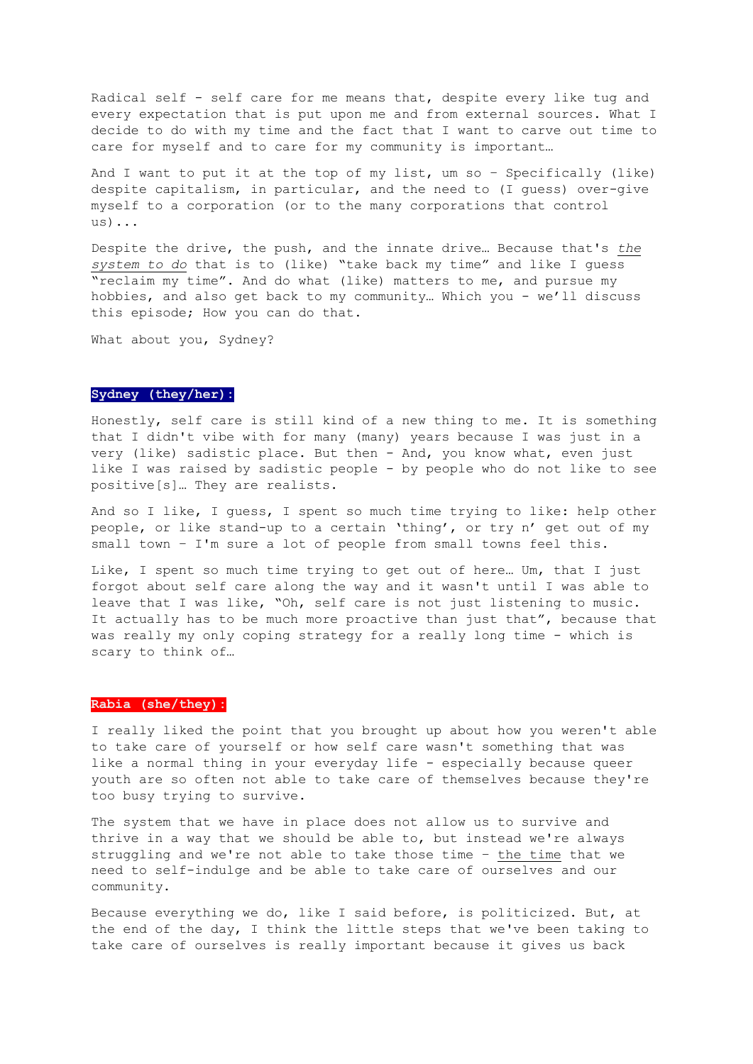Radical self - self care for me means that, despite every like tug and every expectation that is put upon me and from external sources. What I decide to do with my time and the fact that I want to carve out time to care for myself and to care for my community is important…

And I want to put it at the top of my list, um so – Specifically (like) despite capitalism, in particular, and the need to (I guess) over-give myself to a corporation (or to the many corporations that control us)...

Despite the drive, the push, and the innate drive… Because that's *the system to do* that is to (like) "take back my time" and like I guess "reclaim my time". And do what (like) matters to me, and pursue my hobbies, and also get back to my community… Which you - we'll discuss this episode; How you can do that.

What about you, Sydney?

## **Sydney (they/her):**

Honestly, self care is still kind of a new thing to me. It is something that I didn't vibe with for many (many) years because I was just in a very (like) sadistic place. But then - And, you know what, even just like I was raised by sadistic people - by people who do not like to see positive[s]… They are realists.

And so I like, I guess, I spent so much time trying to like: help other people, or like stand-up to a certain 'thing', or try n' get out of my small town – I'm sure a lot of people from small towns feel this.

Like, I spent so much time trying to get out of here… Um, that I just forgot about self care along the way and it wasn't until I was able to leave that I was like, "Oh, self care is not just listening to music. It actually has to be much more proactive than just that", because that was really my only coping strategy for a really long time - which is scary to think of…

#### **Rabia (she/they):**

I really liked the point that you brought up about how you weren't able to take care of yourself or how self care wasn't something that was like a normal thing in your everyday life - especially because queer youth are so often not able to take care of themselves because they're too busy trying to survive.

The system that we have in place does not allow us to survive and thrive in a way that we should be able to, but instead we're always struggling and we're not able to take those time – the time that we need to self-indulge and be able to take care of ourselves and our community.

Because everything we do, like I said before, is politicized. But, at the end of the day, I think the little steps that we've been taking to take care of ourselves is really important because it gives us back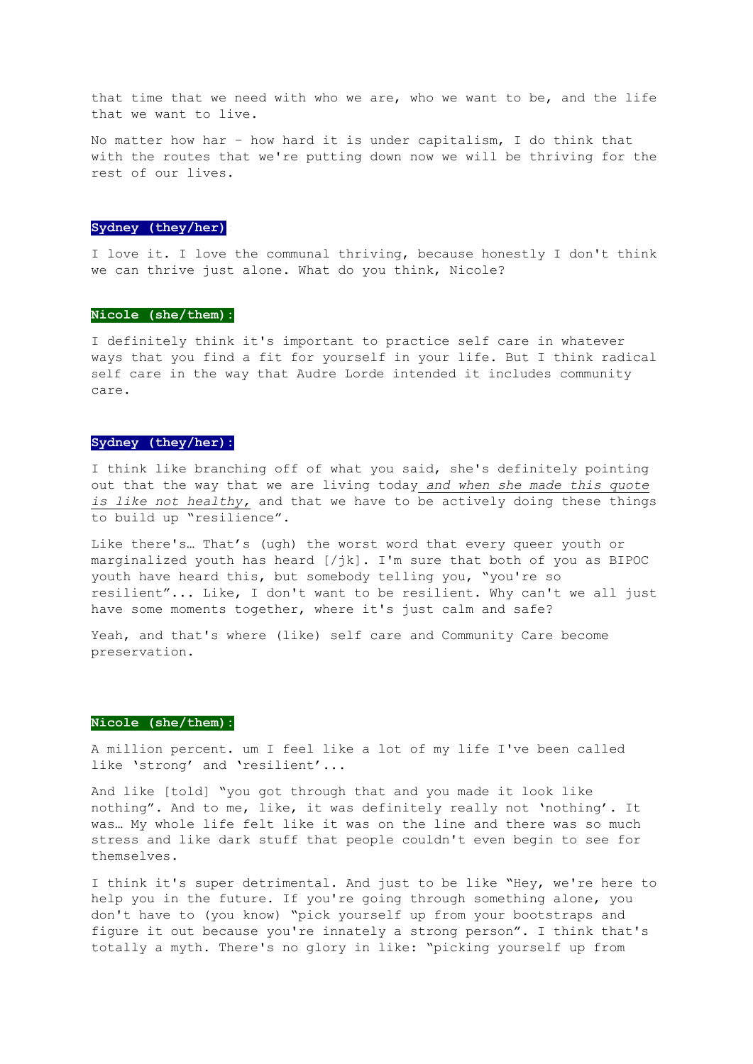that time that we need with who we are, who we want to be, and the life that we want to live.

No matter how har – how hard it is under capitalism, I do think that with the routes that we're putting down now we will be thriving for the rest of our lives.

## **Sydney (they/her):**

I love it. I love the communal thriving, because honestly I don't think we can thrive just alone. What do you think, Nicole?

#### **Nicole (she/them):**

I definitely think it's important to practice self care in whatever ways that you find a fit for yourself in your life. But I think radical self care in the way that Audre Lorde intended it includes community care.

#### **Sydney (they/her):**

I think like branching off of what you said, she's definitely pointing out that the way that we are living today *and when she made this quote is like not healthy,* and that we have to be actively doing these things to build up "resilience".

Like there's… That's (ugh) the worst word that every queer youth or marginalized youth has heard [/jk]. I'm sure that both of you as BIPOC youth have heard this, but somebody telling you, "you're so resilient"... Like, I don't want to be resilient. Why can't we all just have some moments together, where it's just calm and safe?

Yeah, and that's where (like) self care and Community Care become preservation.

## **Nicole (she/them):**

A million percent. um I feel like a lot of my life I've been called like 'strong' and 'resilient'...

And like [told] "you got through that and you made it look like nothing". And to me, like, it was definitely really not 'nothing'. It was… My whole life felt like it was on the line and there was so much stress and like dark stuff that people couldn't even begin to see for themselves.

I think it's super detrimental. And just to be like "Hey, we're here to help you in the future. If you're going through something alone, you don't have to (you know) "pick yourself up from your bootstraps and figure it out because you're innately a strong person". I think that's totally a myth. There's no glory in like: "picking yourself up from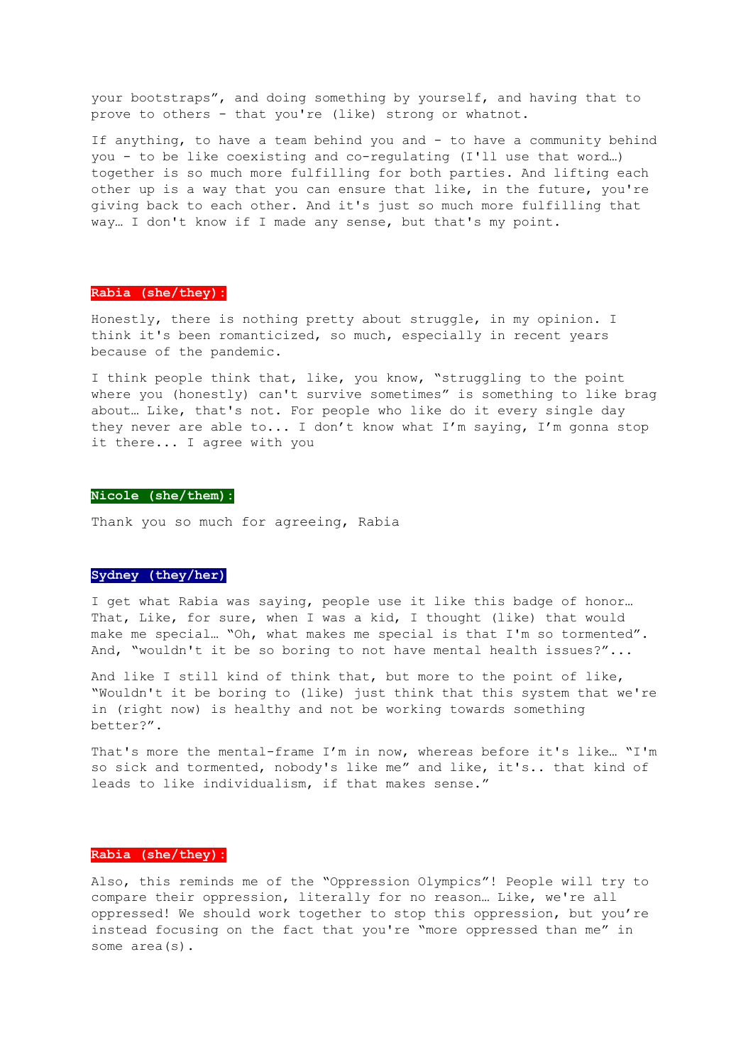your bootstraps", and doing something by yourself, and having that to prove to others - that you're (like) strong or whatnot.

If anything, to have a team behind you and - to have a community behind you - to be like coexisting and co-regulating (I'll use that word…) together is so much more fulfilling for both parties. And lifting each other up is a way that you can ensure that like, in the future, you're giving back to each other. And it's just so much more fulfilling that way… I don't know if I made any sense, but that's my point.

## **Rabia (she/they):**

Honestly, there is nothing pretty about struggle, in my opinion. I think it's been romanticized, so much, especially in recent years because of the pandemic.

I think people think that, like, you know, "struggling to the point where you (honestly) can't survive sometimes" is something to like brag about… Like, that's not. For people who like do it every single day they never are able to... I don't know what I'm saying, I'm gonna stop it there... I agree with you

#### **Nicole (she/them):**

Thank you so much for agreeing, Rabia

#### **Sydney (they/her)**

I get what Rabia was saying, people use it like this badge of honor… That, Like, for sure, when I was a kid, I thought (like) that would make me special… "Oh, what makes me special is that I'm so tormented". And, "wouldn't it be so boring to not have mental health issues?"...

And like I still kind of think that, but more to the point of like, "Wouldn't it be boring to (like) just think that this system that we're in (right now) is healthy and not be working towards something better?".

That's more the mental-frame I'm in now, whereas before it's like… "I'm so sick and tormented, nobody's like me" and like, it's.. that kind of leads to like individualism, if that makes sense."

## **Rabia (she/they):**

Also, this reminds me of the "Oppression Olympics"! People will try to compare their oppression, literally for no reason… Like, we're all oppressed! We should work together to stop this oppression, but you're instead focusing on the fact that you're "more oppressed than me" in some area(s).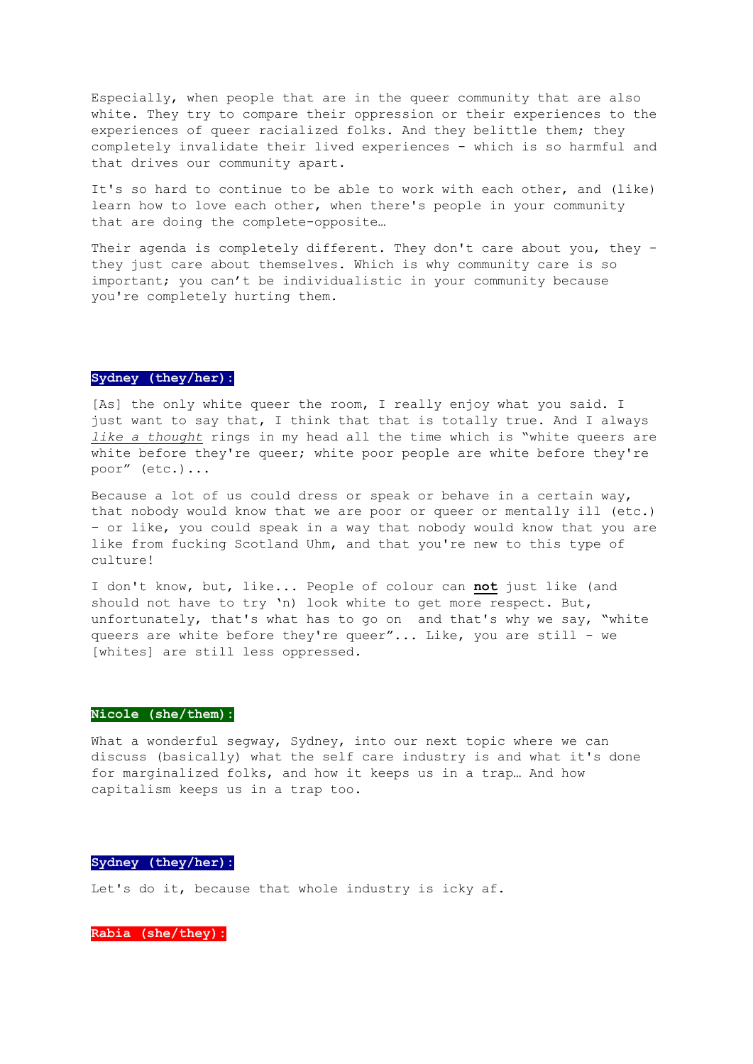Especially, when people that are in the queer community that are also white. They try to compare their oppression or their experiences to the experiences of queer racialized folks. And they belittle them; they completely invalidate their lived experiences - which is so harmful and that drives our community apart.

It's so hard to continue to be able to work with each other, and (like) learn how to love each other, when there's people in your community that are doing the complete-opposite…

Their agenda is completely different. They don't care about you, they they just care about themselves. Which is why community care is so important; you can't be individualistic in your community because you're completely hurting them.

## **Sydney (they/her):**

[As] the only white queer the room, I really enjoy what you said. I just want to say that, I think that that is totally true. And I always *like a thought* rings in my head all the time which is "white queers are white before they're queer; white poor people are white before they're poor" (etc.)...

Because a lot of us could dress or speak or behave in a certain way, that nobody would know that we are poor or queer or mentally ill (etc.) – or like, you could speak in a way that nobody would know that you are like from fucking Scotland Uhm, and that you're new to this type of culture!

I don't know, but, like... People of colour can **not** just like (and should not have to try 'n) look white to get more respect. But, unfortunately, that's what has to go on and that's why we say, "white queers are white before they're queer"... Like, you are still - we [whites] are still less oppressed.

## **Nicole (she/them):**

What a wonderful seqway, Sydney, into our next topic where we can discuss (basically) what the self care industry is and what it's done for marginalized folks, and how it keeps us in a trap… And how capitalism keeps us in a trap too.

## **Sydney (they/her):**

Let's do it, because that whole industry is icky af.

**Rabia (she/they):**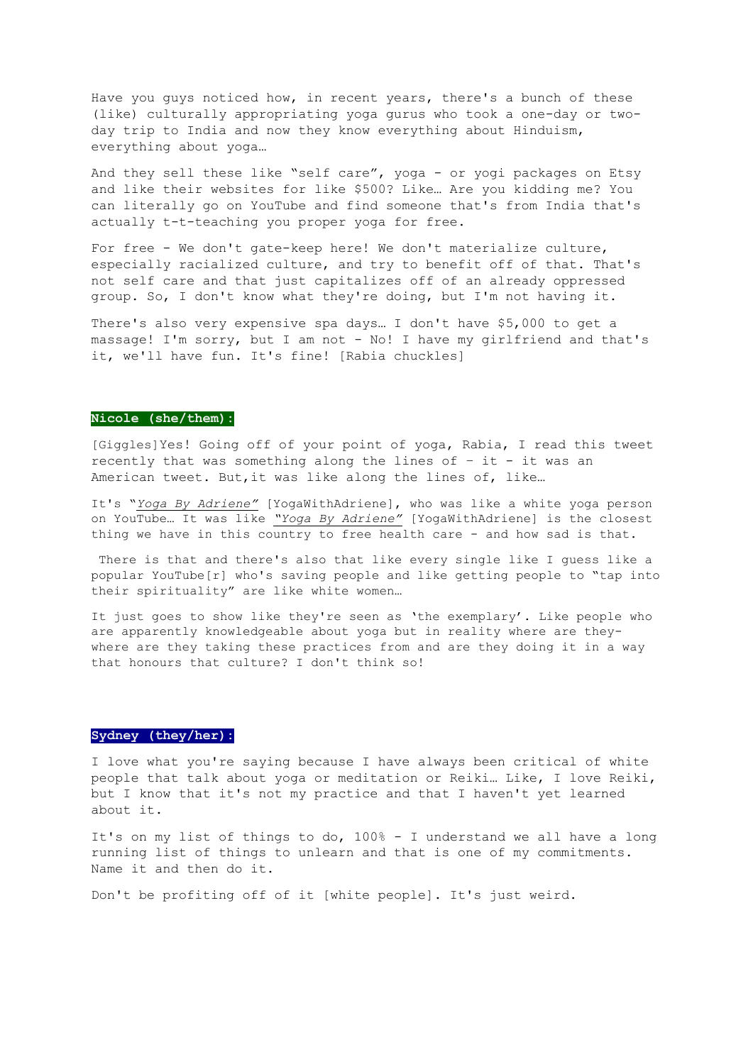Have you guys noticed how, in recent years, there's a bunch of these (like) culturally appropriating yoga gurus who took a one-day or twoday trip to India and now they know everything about Hinduism, everything about yoga…

And they sell these like "self care", yoga - or yogi packages on Etsy and like their websites for like \$500? Like… Are you kidding me? You can literally go on YouTube and find someone that's from India that's actually t-t-teaching you proper yoga for free.

For free - We don't gate-keep here! We don't materialize culture, especially racialized culture, and try to benefit off of that. That's not self care and that just capitalizes off of an already oppressed group. So, I don't know what they're doing, but I'm not having it.

There's also very expensive spa days… I don't have \$5,000 to get a massage! I'm sorry, but I am not - No! I have my girlfriend and that's it, we'll have fun. It's fine! [Rabia chuckles]

#### **Nicole (she/them):**

[Giggles]Yes! Going off of your point of yoga, Rabia, I read this tweet recently that was something along the lines of  $-$  it  $-$  it was an American tweet. But,it was like along the lines of, like…

It's "*Yoga By Adriene"* [YogaWithAdriene], who was like a white yoga person on YouTube… It was like *"Yoga By Adriene"* [YogaWithAdriene] is the closest thing we have in this country to free health care - and how sad is that.

There is that and there's also that like every single like I guess like a popular YouTube[r] who's saving people and like getting people to "tap into their spirituality" are like white women…

It just goes to show like they're seen as 'the exemplary'. Like people who are apparently knowledgeable about yoga but in reality where are theywhere are they taking these practices from and are they doing it in a way that honours that culture? I don't think so!

## **Sydney (they/her):**

I love what you're saying because I have always been critical of white people that talk about yoga or meditation or Reiki… Like, I love Reiki, but I know that it's not my practice and that I haven't yet learned about it.

It's on my list of things to do, 100% - I understand we all have a long running list of things to unlearn and that is one of my commitments. Name it and then do it.

Don't be profiting off of it [white people]. It's just weird.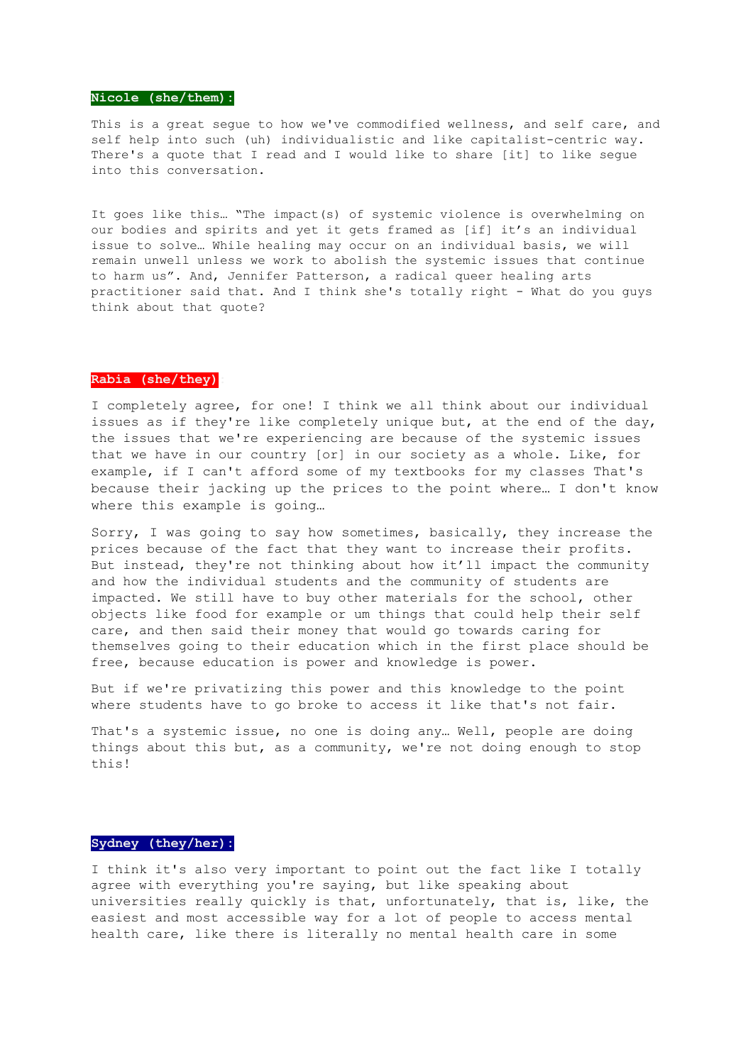#### **Nicole (she/them):**

This is a great seque to how we've commodified wellness, and self care, and self help into such (uh) individualistic and like capitalist-centric way. There's a quote that I read and I would like to share [it] to like segue into this conversation.

It goes like this… "The impact(s) of systemic violence is overwhelming on our bodies and spirits and yet it gets framed as [if] it's an individual issue to solve… While healing may occur on an individual basis, we will remain unwell unless we work to abolish the systemic issues that continue to harm us". And, Jennifer Patterson, a radical queer healing arts practitioner said that. And I think she's totally right - What do you guys think about that quote?

## **Rabia (she/they):**

I completely agree, for one! I think we all think about our individual issues as if they're like completely unique but, at the end of the day, the issues that we're experiencing are because of the systemic issues that we have in our country [or] in our society as a whole. Like, for example, if I can't afford some of my textbooks for my classes That's because their jacking up the prices to the point where… I don't know where this example is going…

Sorry, I was going to say how sometimes, basically, they increase the prices because of the fact that they want to increase their profits. But instead, they're not thinking about how it'll impact the community and how the individual students and the community of students are impacted. We still have to buy other materials for the school, other objects like food for example or um things that could help their self care, and then said their money that would go towards caring for themselves going to their education which in the first place should be free, because education is power and knowledge is power.

But if we're privatizing this power and this knowledge to the point where students have to go broke to access it like that's not fair.

That's a systemic issue, no one is doing any… Well, people are doing things about this but, as a community, we're not doing enough to stop this!

#### **Sydney (they/her):**

I think it's also very important to point out the fact like I totally agree with everything you're saying, but like speaking about universities really quickly is that, unfortunately, that is, like, the easiest and most accessible way for a lot of people to access mental health care, like there is literally no mental health care in some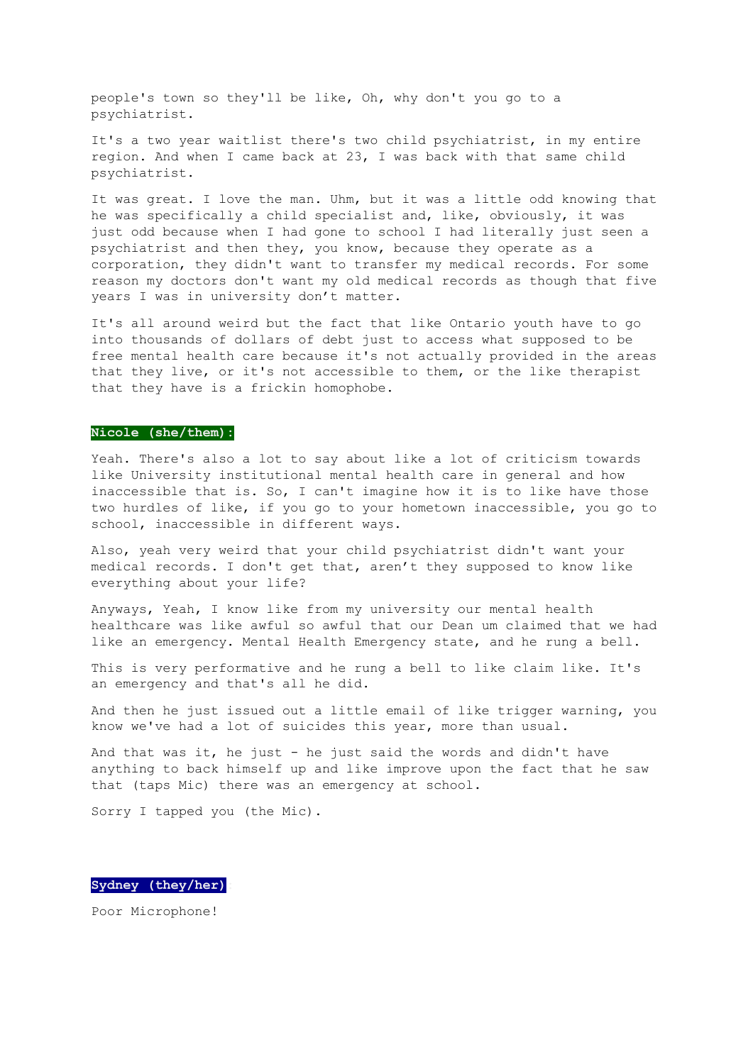people's town so they'll be like, Oh, why don't you go to a psychiatrist.

It's a two year waitlist there's two child psychiatrist, in my entire region. And when I came back at 23, I was back with that same child psychiatrist.

It was great. I love the man. Uhm, but it was a little odd knowing that he was specifically a child specialist and, like, obviously, it was just odd because when I had gone to school I had literally just seen a psychiatrist and then they, you know, because they operate as a corporation, they didn't want to transfer my medical records. For some reason my doctors don't want my old medical records as though that five years I was in university don't matter.

It's all around weird but the fact that like Ontario youth have to go into thousands of dollars of debt just to access what supposed to be free mental health care because it's not actually provided in the areas that they live, or it's not accessible to them, or the like therapist that they have is a frickin homophobe.

#### **Nicole (she/them):**

Yeah. There's also a lot to say about like a lot of criticism towards like University institutional mental health care in general and how inaccessible that is. So, I can't imagine how it is to like have those two hurdles of like, if you go to your hometown inaccessible, you go to school, inaccessible in different ways.

Also, yeah very weird that your child psychiatrist didn't want your medical records. I don't get that, aren't they supposed to know like everything about your life?

Anyways, Yeah, I know like from my university our mental health healthcare was like awful so awful that our Dean um claimed that we had like an emergency. Mental Health Emergency state, and he rung a bell.

This is very performative and he rung a bell to like claim like. It's an emergency and that's all he did.

And then he just issued out a little email of like trigger warning, you know we've had a lot of suicides this year, more than usual.

And that was it, he just - he just said the words and didn't have anything to back himself up and like improve upon the fact that he saw that (taps Mic) there was an emergency at school.

Sorry I tapped you (the Mic).

**Sydney (they/her):**

Poor Microphone!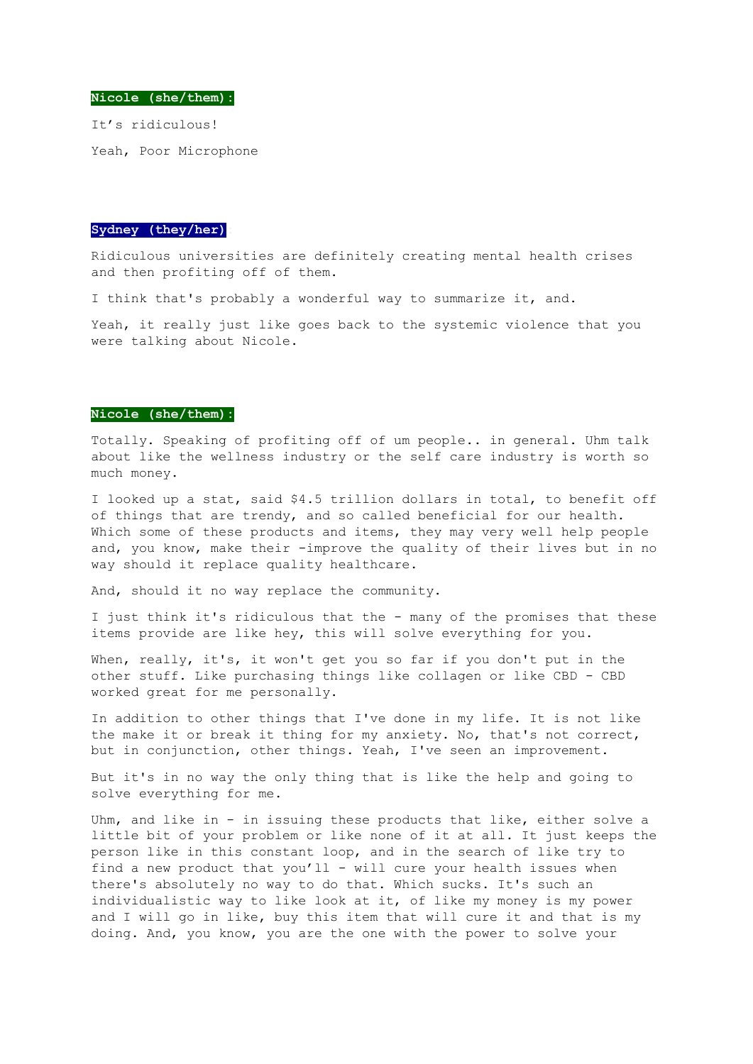**Nicole (she/them):**

It's ridiculous! Yeah, Poor Microphone

#### **Sydney (they/her):**

Ridiculous universities are definitely creating mental health crises and then profiting off of them.

I think that's probably a wonderful way to summarize it, and.

Yeah, it really just like goes back to the systemic violence that you were talking about Nicole.

#### **Nicole (she/them):**

Totally. Speaking of profiting off of um people.. in general. Uhm talk about like the wellness industry or the self care industry is worth so much money.

I looked up a stat, said \$4.5 trillion dollars in total, to benefit off of things that are trendy, and so called beneficial for our health. Which some of these products and items, they may very well help people and, you know, make their -improve the quality of their lives but in no way should it replace quality healthcare.

And, should it no way replace the community.

I just think it's ridiculous that the - many of the promises that these items provide are like hey, this will solve everything for you.

When, really, it's, it won't get you so far if you don't put in the other stuff. Like purchasing things like collagen or like CBD - CBD worked great for me personally.

In addition to other things that I've done in my life. It is not like the make it or break it thing for my anxiety. No, that's not correct, but in conjunction, other things. Yeah, I've seen an improvement.

But it's in no way the only thing that is like the help and going to solve everything for me.

Uhm, and like in - in issuing these products that like, either solve a little bit of your problem or like none of it at all. It just keeps the person like in this constant loop, and in the search of like try to find a new product that you'll - will cure your health issues when there's absolutely no way to do that. Which sucks. It's such an individualistic way to like look at it, of like my money is my power and I will go in like, buy this item that will cure it and that is my doing. And, you know, you are the one with the power to solve your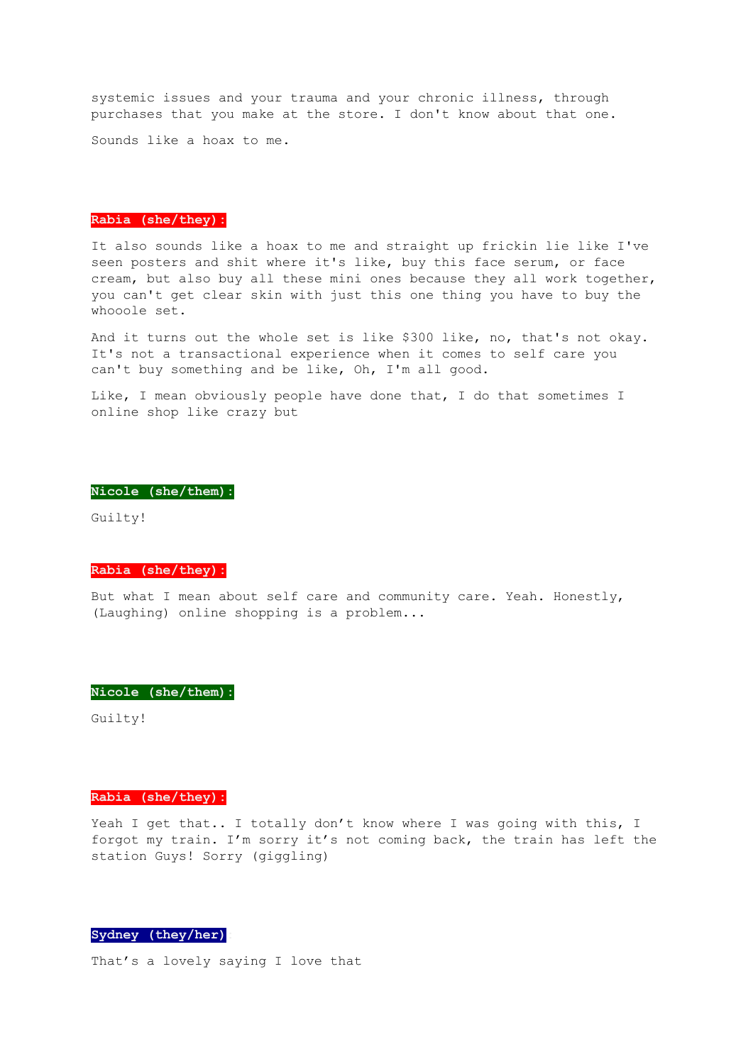systemic issues and your trauma and your chronic illness, through purchases that you make at the store. I don't know about that one.

Sounds like a hoax to me.

#### **Rabia (she/they):**

It also sounds like a hoax to me and straight up frickin lie like I've seen posters and shit where it's like, buy this face serum, or face cream, but also buy all these mini ones because they all work together, you can't get clear skin with just this one thing you have to buy the whooole set.

And it turns out the whole set is like \$300 like, no, that's not okay. It's not a transactional experience when it comes to self care you can't buy something and be like, Oh, I'm all good.

Like, I mean obviously people have done that, I do that sometimes I online shop like crazy but

#### **Nicole (she/them):**

Guilty!

#### **Rabia (she/they):**

But what I mean about self care and community care. Yeah. Honestly, (Laughing) online shopping is a problem...

#### **Nicole (she/them):**

Guilty!

#### **Rabia (she/they):**

Yeah I get that.. I totally don't know where I was going with this, I forgot my train. I'm sorry it's not coming back, the train has left the station Guys! Sorry (giggling)

## **Sydney (they/her):**

That's a lovely saying I love that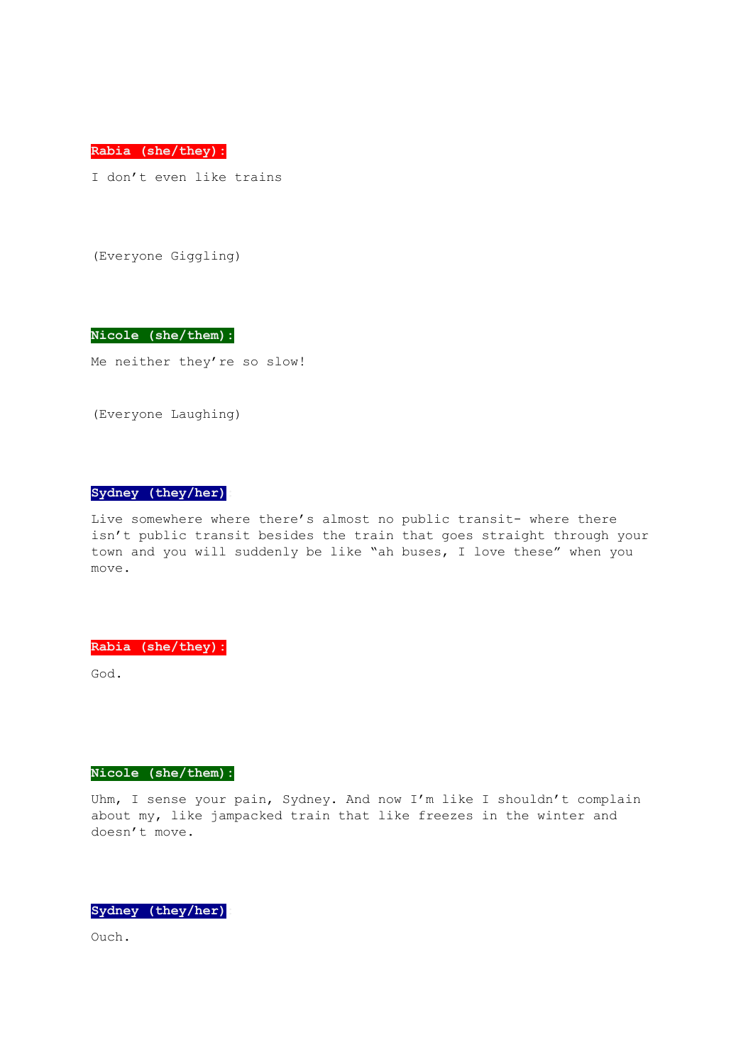**Rabia (she/they):**

I don't even like trains

(Everyone Giggling)

**Nicole (she/them):**

Me neither they're so slow!

(Everyone Laughing)

## **Sydney (they/her):**

Live somewhere where there's almost no public transit- where there isn't public transit besides the train that goes straight through your town and you will suddenly be like "ah buses, I love these" when you move.

**Rabia (she/they):**

God.

### **Nicole (she/them):**

Uhm, I sense your pain, Sydney. And now I'm like I shouldn't complain about my, like jampacked train that like freezes in the winter and doesn't move.

**Sydney (they/her):**

Ouch.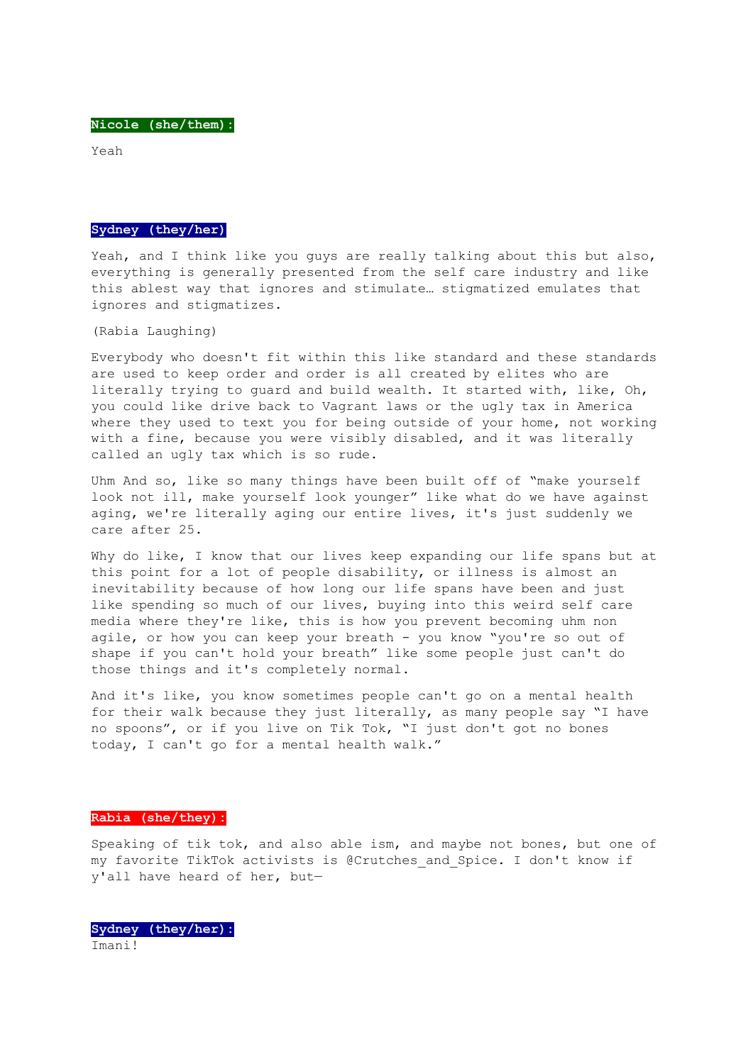Yeah

#### **Sydney (they/her):**

Yeah, and I think like you guys are really talking about this but also, everything is generally presented from the self care industry and like this ablest way that ignores and stimulate… stigmatized emulates that ignores and stigmatizes.

(Rabia Laughing)

Everybody who doesn't fit within this like standard and these standards are used to keep order and order is all created by elites who are literally trying to guard and build wealth. It started with, like, Oh, you could like drive back to Vagrant laws or the ugly tax in America where they used to text you for being outside of your home, not working with a fine, because you were visibly disabled, and it was literally called an ugly tax which is so rude.

Uhm And so, like so many things have been built off of "make yourself look not ill, make yourself look younger" like what do we have against aging, we're literally aging our entire lives, it's just suddenly we care after 25.

Why do like, I know that our lives keep expanding our life spans but at this point for a lot of people disability, or illness is almost an inevitability because of how long our life spans have been and just like spending so much of our lives, buying into this weird self care media where they're like, this is how you prevent becoming uhm non agile, or how you can keep your breath - you know "you're so out of shape if you can't hold your breath" like some people just can't do those things and it's completely normal.

And it's like, you know sometimes people can't go on a mental health for their walk because they just literally, as many people say "I have no spoons", or if you live on Tik Tok, "I just don't got no bones today, I can't go for a mental health walk."

#### **Rabia (she/they):**

Speaking of tik tok, and also able ism, and maybe not bones, but one of my favorite TikTok activists is @Crutches\_and\_Spice. I don't know if y'all have heard of her, but—

**Sydney (they/her):** Imani!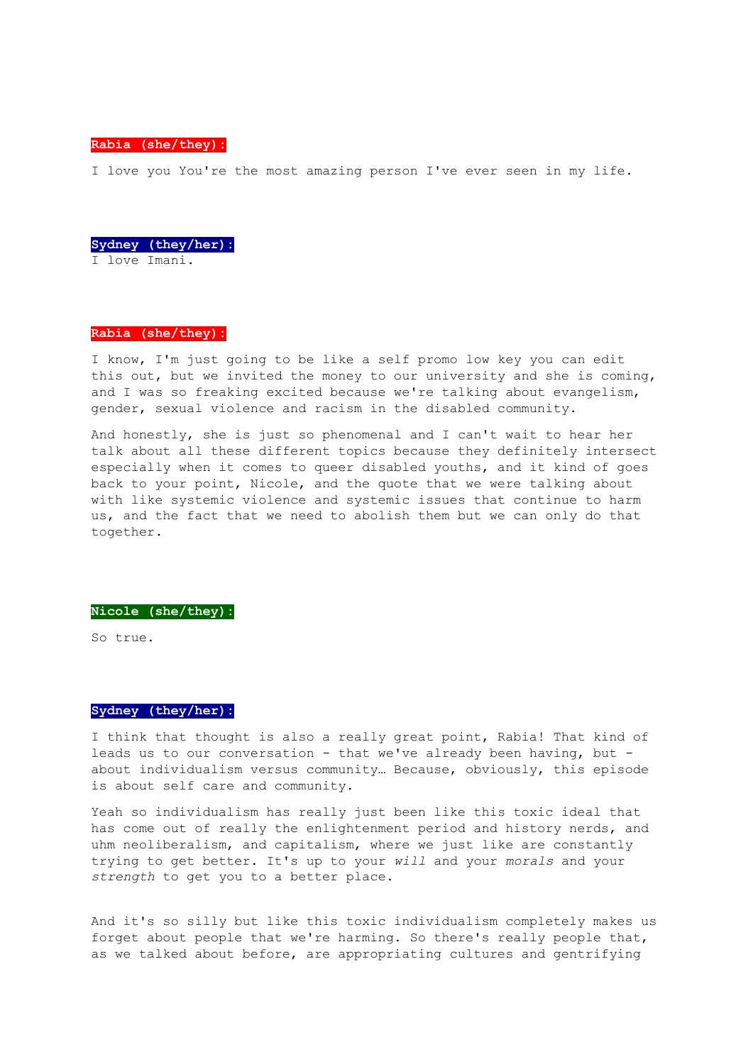**Rabia (she/they):**

I love you You're the most amazing person I've ever seen in my life.

**Sydney (they/her):** I love Imani.

#### **Rabia (she/they):**

I know, I'm just going to be like a self promo low key you can edit this out, but we invited the money to our university and she is coming, and I was so freaking excited because we're talking about evangelism, gender, sexual violence and racism in the disabled community.

And honestly, she is just so phenomenal and I can't wait to hear her talk about all these different topics because they definitely intersect especially when it comes to queer disabled youths, and it kind of goes back to your point, Nicole, and the quote that we were talking about with like systemic violence and systemic issues that continue to harm us, and the fact that we need to abolish them but we can only do that together.

#### **Nicole (she/they):**

So true.

## **Sydney (they/her):**

I think that thought is also a really great point, Rabia! That kind of leads us to our conversation - that we've already been having, but about individualism versus community… Because, obviously, this episode is about self care and community.

Yeah so individualism has really just been like this toxic ideal that has come out of really the enlightenment period and history nerds, and uhm neoliberalism, and capitalism, where we just like are constantly trying to get better. It's up to your *will* and your *morals* and your *strength* to get you to a better place.

And it's so silly but like this toxic individualism completely makes us forget about people that we're harming. So there's really people that, as we talked about before, are appropriating cultures and gentrifying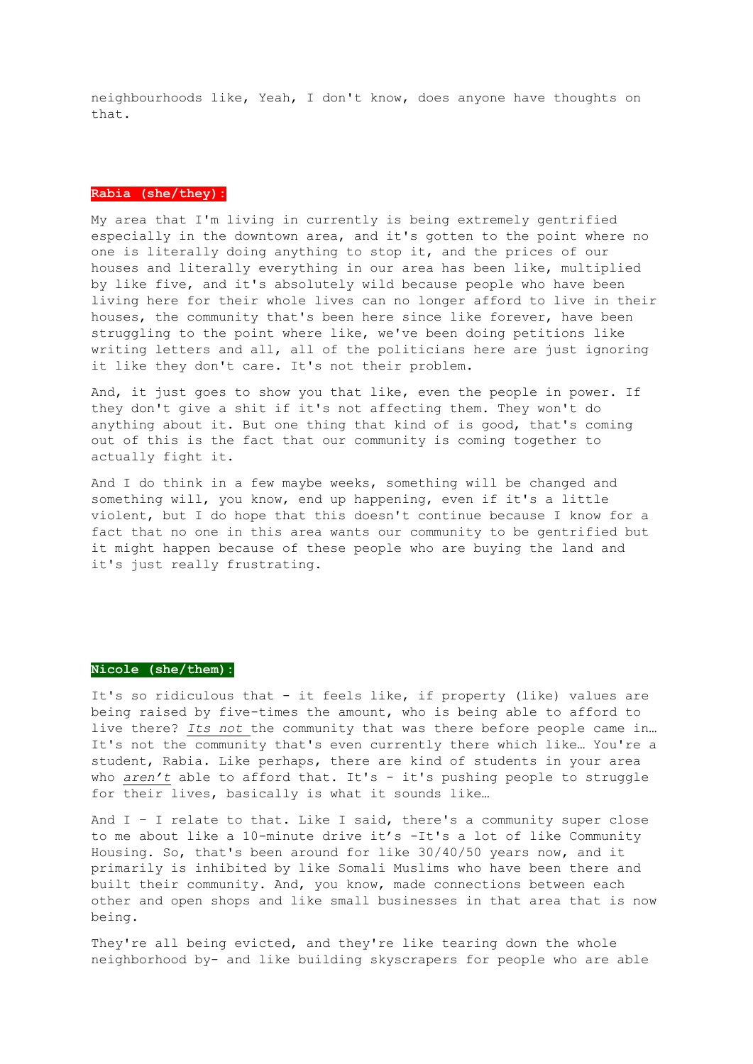neighbourhoods like, Yeah, I don't know, does anyone have thoughts on that.

#### **Rabia (she/they):**

My area that I'm living in currently is being extremely gentrified especially in the downtown area, and it's gotten to the point where no one is literally doing anything to stop it, and the prices of our houses and literally everything in our area has been like, multiplied by like five, and it's absolutely wild because people who have been living here for their whole lives can no longer afford to live in their houses, the community that's been here since like forever, have been struggling to the point where like, we've been doing petitions like writing letters and all, all of the politicians here are just ignoring it like they don't care. It's not their problem.

And, it just goes to show you that like, even the people in power. If they don't give a shit if it's not affecting them. They won't do anything about it. But one thing that kind of is good, that's coming out of this is the fact that our community is coming together to actually fight it.

And I do think in a few maybe weeks, something will be changed and something will, you know, end up happening, even if it's a little violent, but I do hope that this doesn't continue because I know for a fact that no one in this area wants our community to be gentrified but it might happen because of these people who are buying the land and it's just really frustrating.

## **Nicole (she/them):**

It's so ridiculous that - it feels like, if property (like) values are being raised by five-times the amount, who is being able to afford to live there? *Its not* the community that was there before people came in… It's not the community that's even currently there which like… You're a student, Rabia. Like perhaps, there are kind of students in your area who *aren't* able to afford that. It's - it's pushing people to struggle for their lives, basically is what it sounds like…

And  $I - I$  relate to that. Like I said, there's a community super close to me about like a 10-minute drive it's -It's a lot of like Community Housing. So, that's been around for like 30/40/50 years now, and it primarily is inhibited by like Somali Muslims who have been there and built their community. And, you know, made connections between each other and open shops and like small businesses in that area that is now being.

They're all being evicted, and they're like tearing down the whole neighborhood by- and like building skyscrapers for people who are able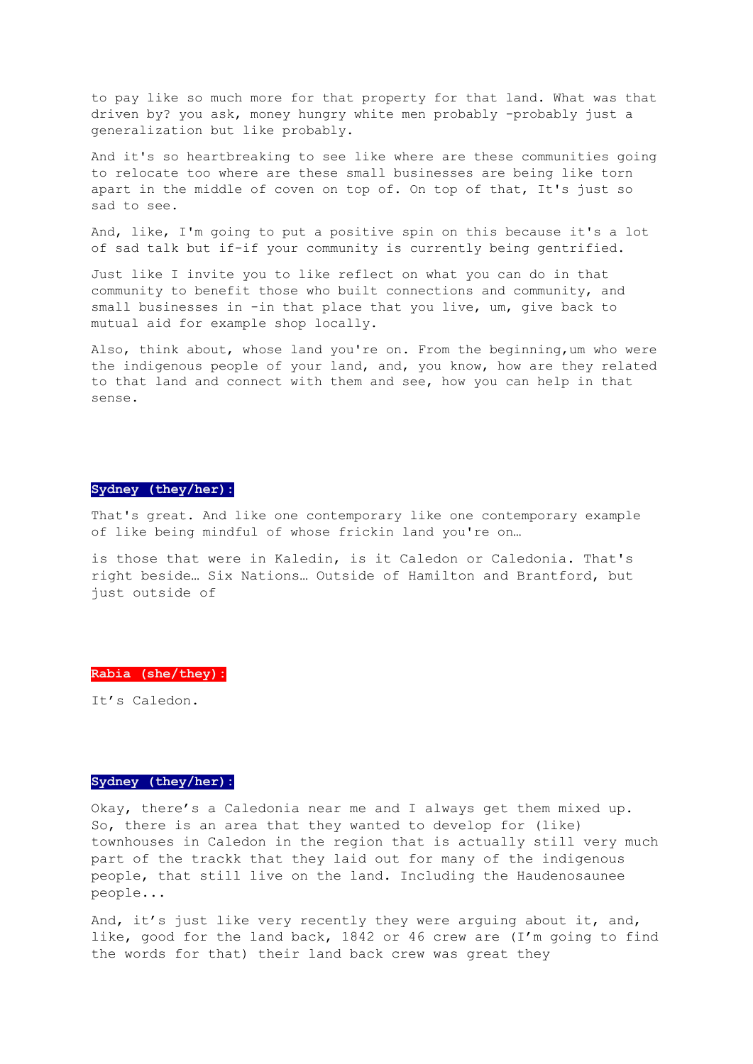to pay like so much more for that property for that land. What was that driven by? you ask, money hungry white men probably -probably just a generalization but like probably.

And it's so heartbreaking to see like where are these communities going to relocate too where are these small businesses are being like torn apart in the middle of coven on top of. On top of that, It's just so sad to see.

And, like, I'm going to put a positive spin on this because it's a lot of sad talk but if-if your community is currently being gentrified.

Just like I invite you to like reflect on what you can do in that community to benefit those who built connections and community, and small businesses in -in that place that you live, um, give back to mutual aid for example shop locally.

Also, think about, whose land you're on. From the beginning,um who were the indigenous people of your land, and, you know, how are they related to that land and connect with them and see, how you can help in that sense.

## **Sydney (they/her):**

That's great. And like one contemporary like one contemporary example of like being mindful of whose frickin land you're on…

is those that were in Kaledin, is it Caledon or Caledonia. That's right beside… Six Nations… Outside of Hamilton and Brantford, but just outside of

#### **Rabia (she/they):**

It's Caledon.

## **Sydney (they/her):**

Okay, there's a Caledonia near me and I always get them mixed up. So, there is an area that they wanted to develop for (like) townhouses in Caledon in the region that is actually still very much part of the trackk that they laid out for many of the indigenous people, that still live on the land. Including the Haudenosaunee people...

And, it's just like very recently they were arguing about it, and, like, good for the land back, 1842 or 46 crew are (I'm going to find the words for that) their land back crew was great they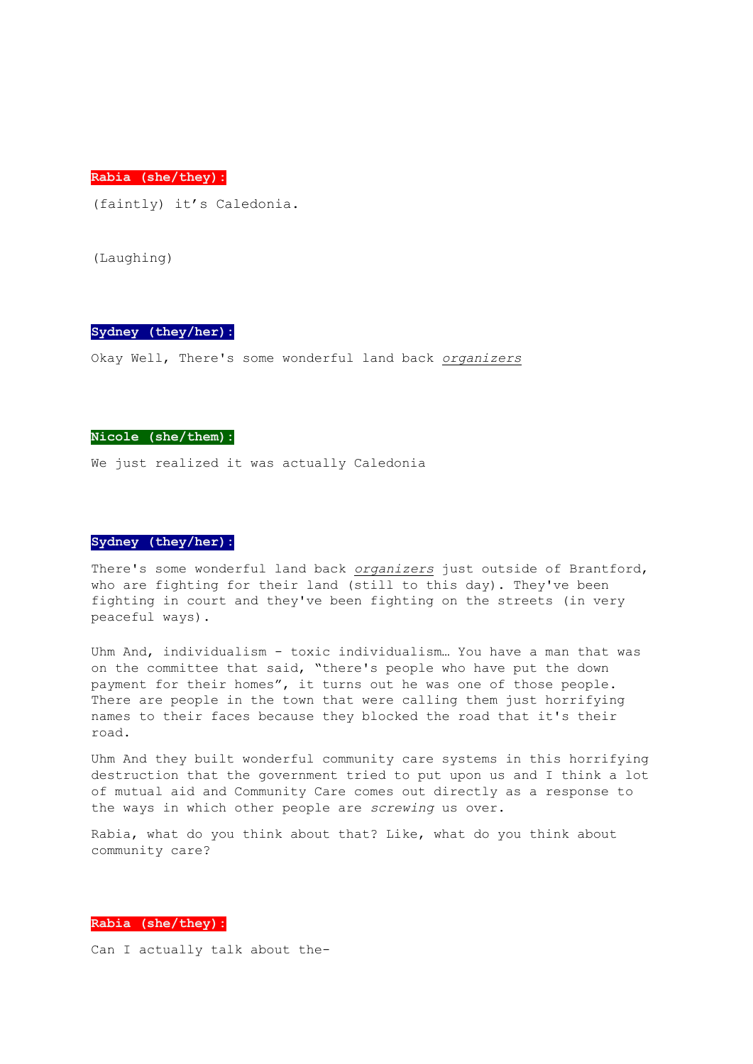**Rabia (she/they):**

(faintly) it's Caledonia.

(Laughing)

## **Sydney (they/her):**

Okay Well, There's some wonderful land back *organizers*

## **Nicole (she/them):**

We just realized it was actually Caledonia

#### **Sydney (they/her):**

There's some wonderful land back *organizers* just outside of Brantford, who are fighting for their land (still to this day). They've been fighting in court and they've been fighting on the streets (in very peaceful ways).

Uhm And, individualism - toxic individualism… You have a man that was on the committee that said, "there's people who have put the down payment for their homes", it turns out he was one of those people. There are people in the town that were calling them just horrifying names to their faces because they blocked the road that it's their road.

Uhm And they built wonderful community care systems in this horrifying destruction that the government tried to put upon us and I think a lot of mutual aid and Community Care comes out directly as a response to the ways in which other people are *screwing* us over.

Rabia, what do you think about that? Like, what do you think about community care?

## **Rabia (she/they):**

Can I actually talk about the-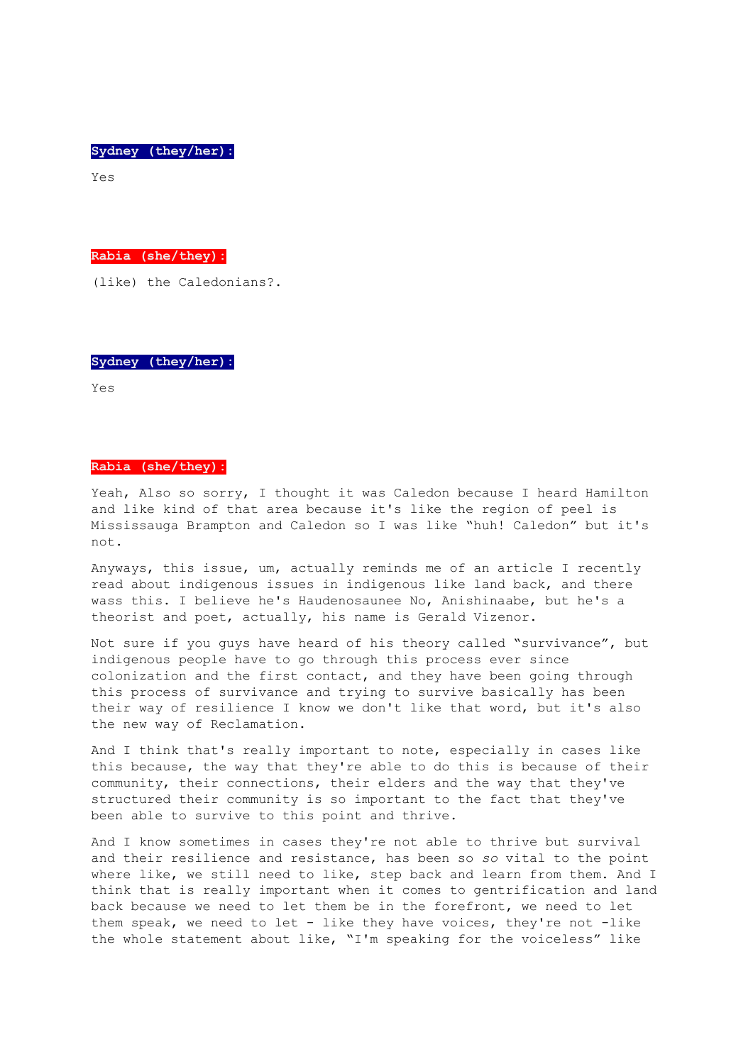**Sydney (they/her):**

Yes

**Rabia (she/they):**

(like) the Caledonians?.

**Sydney (they/her):**

Yes

## **Rabia (she/they):**

Yeah, Also so sorry, I thought it was Caledon because I heard Hamilton and like kind of that area because it's like the region of peel is Mississauga Brampton and Caledon so I was like "huh! Caledon" but it's not.

Anyways, this issue, um, actually reminds me of an article I recently read about indigenous issues in indigenous like land back, and there wass this. I believe he's Haudenosaunee No, Anishinaabe, but he's a theorist and poet, actually, his name is Gerald Vizenor.

Not sure if you guys have heard of his theory called "survivance", but indigenous people have to go through this process ever since colonization and the first contact, and they have been going through this process of survivance and trying to survive basically has been their way of resilience I know we don't like that word, but it's also the new way of Reclamation.

And I think that's really important to note, especially in cases like this because, the way that they're able to do this is because of their community, their connections, their elders and the way that they've structured their community is so important to the fact that they've been able to survive to this point and thrive.

And I know sometimes in cases they're not able to thrive but survival and their resilience and resistance, has been so *so* vital to the point where like, we still need to like, step back and learn from them. And I think that is really important when it comes to gentrification and land back because we need to let them be in the forefront, we need to let them speak, we need to let - like they have voices, they're not -like the whole statement about like, "I'm speaking for the voiceless" like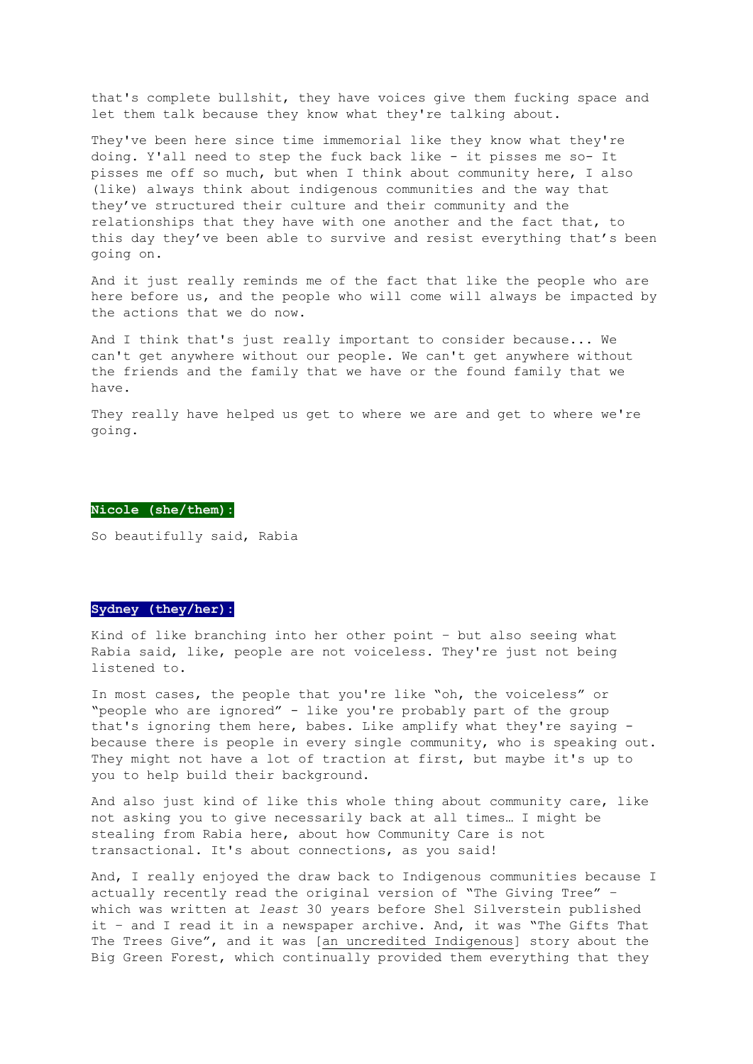that's complete bullshit, they have voices give them fucking space and let them talk because they know what they're talking about.

They've been here since time immemorial like they know what they're doing. Y'all need to step the fuck back like - it pisses me so- It pisses me off so much, but when I think about community here, I also (like) always think about indigenous communities and the way that they've structured their culture and their community and the relationships that they have with one another and the fact that, to this day they've been able to survive and resist everything that's been going on.

And it just really reminds me of the fact that like the people who are here before us, and the people who will come will always be impacted by the actions that we do now.

And I think that's just really important to consider because... We can't get anywhere without our people. We can't get anywhere without the friends and the family that we have or the found family that we have.

They really have helped us get to where we are and get to where we're going.

#### **Nicole (she/them):**

So beautifully said, Rabia

#### **Sydney (they/her):**

Kind of like branching into her other point – but also seeing what Rabia said, like, people are not voiceless. They're just not being listened to.

In most cases, the people that you're like "oh, the voiceless" or "people who are ignored" - like you're probably part of the group that's ignoring them here, babes. Like amplify what they're saying because there is people in every single community, who is speaking out. They might not have a lot of traction at first, but maybe it's up to you to help build their background.

And also just kind of like this whole thing about community care, like not asking you to give necessarily back at all times… I might be stealing from Rabia here, about how Community Care is not transactional. It's about connections, as you said!

And, I really enjoyed the draw back to Indigenous communities because I actually recently read the original version of "The Giving Tree" – which was written at *least* 30 years before Shel Silverstein published it – and I read it in a newspaper archive. And, it was "The Gifts That The Trees Give", and it was [an uncredited Indigenous] story about the Big Green Forest, which continually provided them everything that they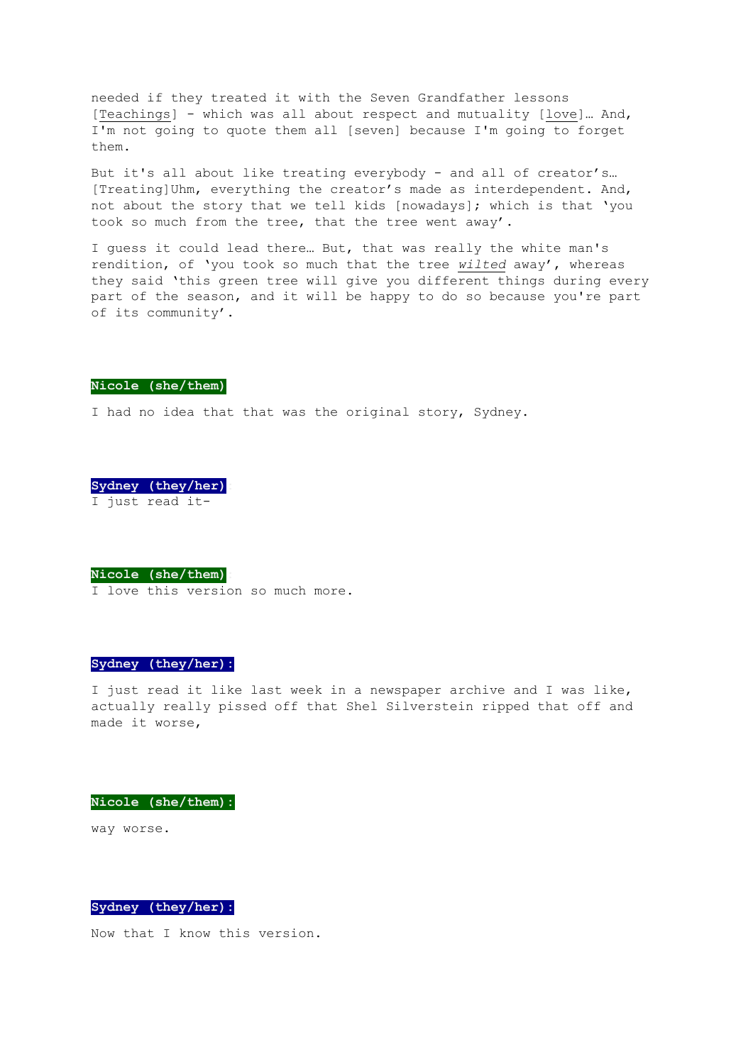needed if they treated it with the Seven Grandfather lessons [Teachings] - which was all about respect and mutuality [love]... And, I'm not going to quote them all [seven] because I'm going to forget them.

But it's all about like treating everybody - and all of creator's… [Treating]Uhm, everything the creator's made as interdependent. And, not about the story that we tell kids [nowadays]; which is that 'you took so much from the tree, that the tree went away'.

I guess it could lead there… But, that was really the white man's rendition, of 'you took so much that the tree *wilted* away', whereas they said 'this green tree will give you different things during every part of the season, and it will be happy to do so because you're part of its community'.

#### **Nicole (she/them)**

I had no idea that that was the original story, Sydney.

**Sydney (they/her):** I just read it-

**Nicole (she/them):**

I love this version so much more.

## **Sydney (they/her):**

I just read it like last week in a newspaper archive and I was like, actually really pissed off that Shel Silverstein ripped that off and made it worse,

**Nicole (she/them):**

way worse.

**Sydney (they/her):**

Now that I know this version.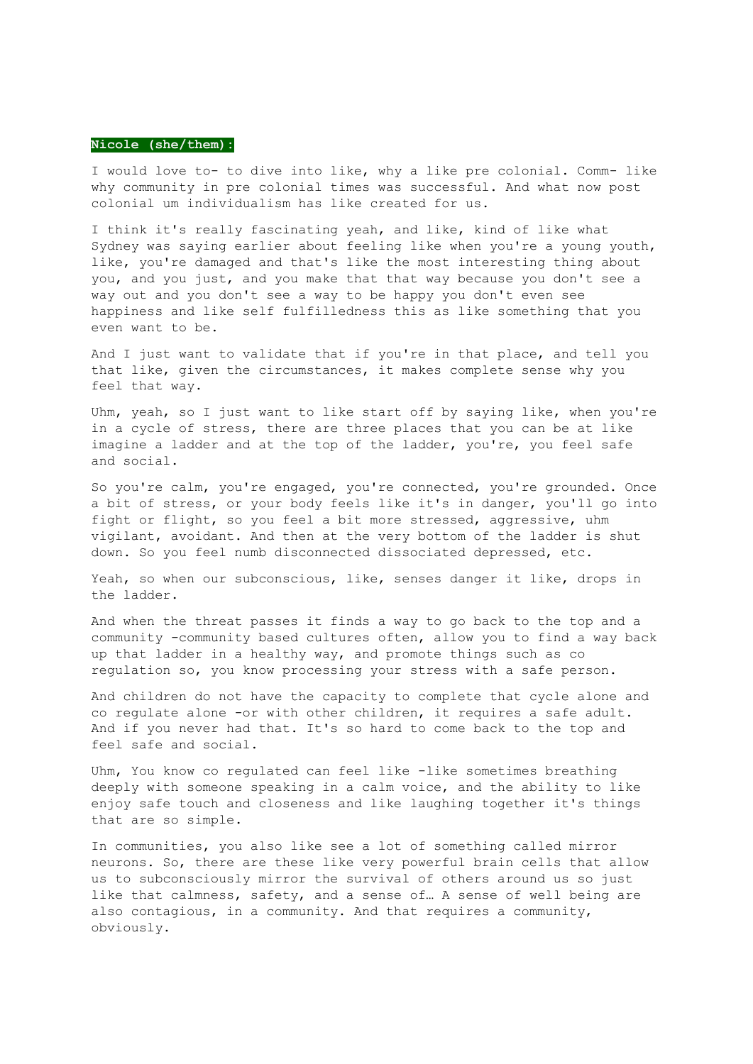#### **Nicole (she/them):**

I would love to- to dive into like, why a like pre colonial. Comm- like why community in pre colonial times was successful. And what now post colonial um individualism has like created for us.

I think it's really fascinating yeah, and like, kind of like what Sydney was saying earlier about feeling like when you're a young youth, like, you're damaged and that's like the most interesting thing about you, and you just, and you make that that way because you don't see a way out and you don't see a way to be happy you don't even see happiness and like self fulfilledness this as like something that you even want to be.

And I just want to validate that if you're in that place, and tell you that like, given the circumstances, it makes complete sense why you feel that way.

Uhm, yeah, so I just want to like start off by saying like, when you're in a cycle of stress, there are three places that you can be at like imagine a ladder and at the top of the ladder, you're, you feel safe and social.

So you're calm, you're engaged, you're connected, you're grounded. Once a bit of stress, or your body feels like it's in danger, you'll go into fight or flight, so you feel a bit more stressed, aggressive, uhm vigilant, avoidant. And then at the very bottom of the ladder is shut down. So you feel numb disconnected dissociated depressed, etc.

Yeah, so when our subconscious, like, senses danger it like, drops in the ladder.

And when the threat passes it finds a way to go back to the top and a community -community based cultures often, allow you to find a way back up that ladder in a healthy way, and promote things such as co regulation so, you know processing your stress with a safe person.

And children do not have the capacity to complete that cycle alone and co regulate alone -or with other children, it requires a safe adult. And if you never had that. It's so hard to come back to the top and feel safe and social.

Uhm, You know co regulated can feel like -like sometimes breathing deeply with someone speaking in a calm voice, and the ability to like enjoy safe touch and closeness and like laughing together it's things that are so simple.

In communities, you also like see a lot of something called mirror neurons. So, there are these like very powerful brain cells that allow us to subconsciously mirror the survival of others around us so just like that calmness, safety, and a sense of… A sense of well being are also contagious, in a community. And that requires a community, obviously.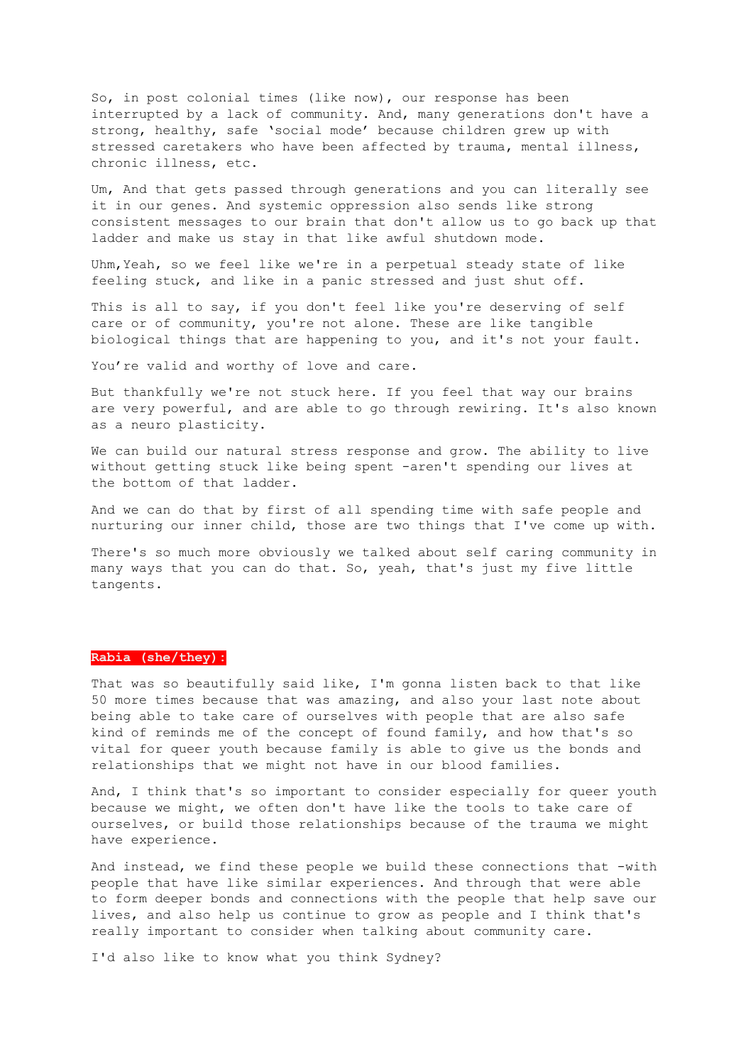So, in post colonial times (like now), our response has been interrupted by a lack of community. And, many generations don't have a strong, healthy, safe 'social mode' because children grew up with stressed caretakers who have been affected by trauma, mental illness, chronic illness, etc.

Um, And that gets passed through generations and you can literally see it in our genes. And systemic oppression also sends like strong consistent messages to our brain that don't allow us to go back up that ladder and make us stay in that like awful shutdown mode.

Uhm,Yeah, so we feel like we're in a perpetual steady state of like feeling stuck, and like in a panic stressed and just shut off.

This is all to say, if you don't feel like you're deserving of self care or of community, you're not alone. These are like tangible biological things that are happening to you, and it's not your fault.

You're valid and worthy of love and care.

But thankfully we're not stuck here. If you feel that way our brains are very powerful, and are able to go through rewiring. It's also known as a neuro plasticity.

We can build our natural stress response and grow. The ability to live without getting stuck like being spent -aren't spending our lives at the bottom of that ladder.

And we can do that by first of all spending time with safe people and nurturing our inner child, those are two things that I've come up with.

There's so much more obviously we talked about self caring community in many ways that you can do that. So, yeah, that's just my five little tangents.

## **Rabia (she/they):**

That was so beautifully said like, I'm gonna listen back to that like 50 more times because that was amazing, and also your last note about being able to take care of ourselves with people that are also safe kind of reminds me of the concept of found family, and how that's so vital for queer youth because family is able to give us the bonds and relationships that we might not have in our blood families.

And, I think that's so important to consider especially for queer youth because we might, we often don't have like the tools to take care of ourselves, or build those relationships because of the trauma we might have experience.

And instead, we find these people we build these connections that -with people that have like similar experiences. And through that were able to form deeper bonds and connections with the people that help save our lives, and also help us continue to grow as people and I think that's really important to consider when talking about community care.

I'd also like to know what you think Sydney?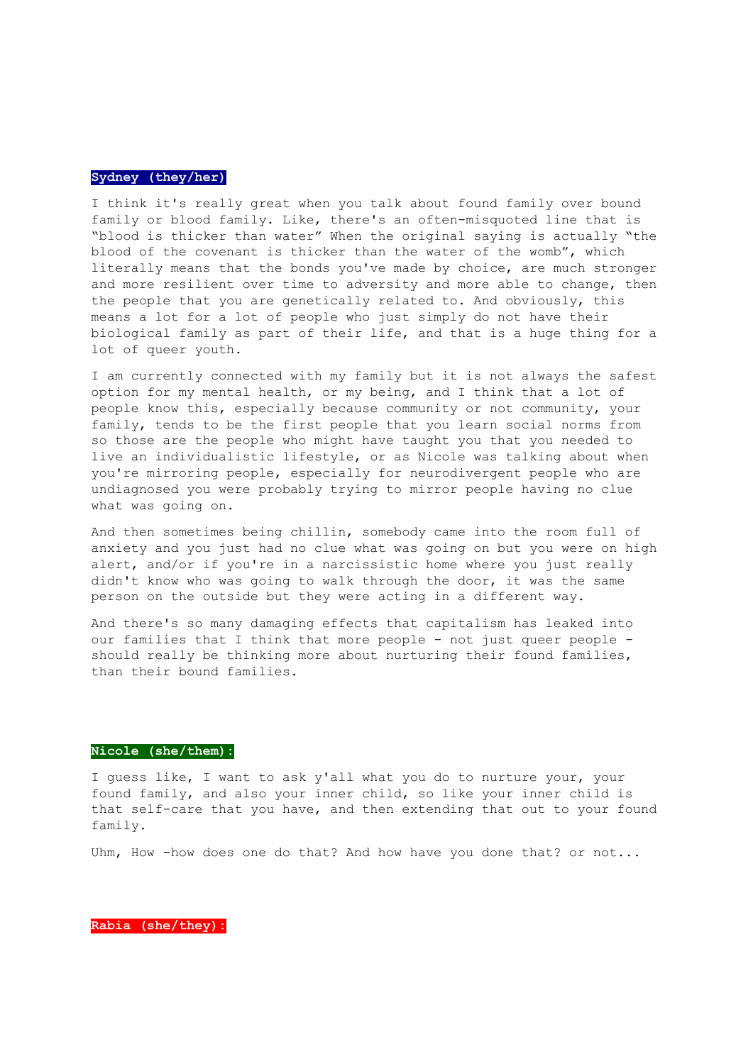#### **Sydney (they/her):**

I think it's really great when you talk about found family over bound family or blood family. Like, there's an often-misquoted line that is "blood is thicker than water" When the original saying is actually "the blood of the covenant is thicker than the water of the womb", which literally means that the bonds you've made by choice, are much stronger and more resilient over time to adversity and more able to change, then the people that you are genetically related to. And obviously, this means a lot for a lot of people who just simply do not have their biological family as part of their life, and that is a huge thing for a lot of queer youth.

I am currently connected with my family but it is not always the safest option for my mental health, or my being, and I think that a lot of people know this, especially because community or not community, your family, tends to be the first people that you learn social norms from so those are the people who might have taught you that you needed to live an individualistic lifestyle, or as Nicole was talking about when you're mirroring people, especially for neurodivergent people who are undiagnosed you were probably trying to mirror people having no clue what was going on.

And then sometimes being chillin, somebody came into the room full of anxiety and you just had no clue what was going on but you were on high alert, and/or if you're in a narcissistic home where you just really didn't know who was going to walk through the door, it was the same person on the outside but they were acting in a different way.

And there's so many damaging effects that capitalism has leaked into our families that I think that more people - not just queer people should really be thinking more about nurturing their found families, than their bound families.

#### **Nicole (she/them):**

I guess like, I want to ask y'all what you do to nurture your, your found family, and also your inner child, so like your inner child is that self-care that you have, and then extending that out to your found family.

Uhm, How -how does one do that? And how have you done that? or not...

**Rabia (she/they):**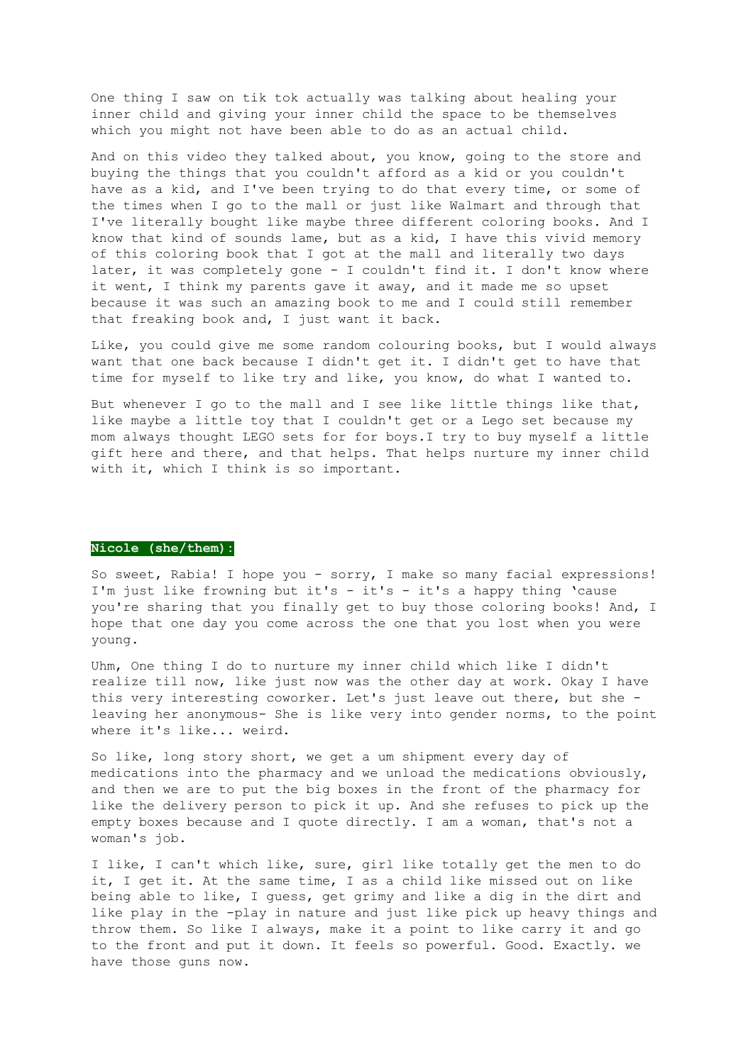One thing I saw on tik tok actually was talking about healing your inner child and giving your inner child the space to be themselves which you might not have been able to do as an actual child.

And on this video they talked about, you know, going to the store and buying the things that you couldn't afford as a kid or you couldn't have as a kid, and I've been trying to do that every time, or some of the times when I go to the mall or just like Walmart and through that I've literally bought like maybe three different coloring books. And I know that kind of sounds lame, but as a kid, I have this vivid memory of this coloring book that I got at the mall and literally two days later, it was completely gone - I couldn't find it. I don't know where it went, I think my parents gave it away, and it made me so upset because it was such an amazing book to me and I could still remember that freaking book and, I just want it back.

Like, you could give me some random colouring books, but I would always want that one back because I didn't get it. I didn't get to have that time for myself to like try and like, you know, do what I wanted to.

But whenever I go to the mall and I see like little things like that, like maybe a little toy that I couldn't get or a Lego set because my mom always thought LEGO sets for for boys.I try to buy myself a little gift here and there, and that helps. That helps nurture my inner child with it, which I think is so important.

#### **Nicole (she/them):**

So sweet, Rabia! I hope you - sorry, I make so many facial expressions! I'm just like frowning but it's - it's - it's a happy thing 'cause you're sharing that you finally get to buy those coloring books! And, I hope that one day you come across the one that you lost when you were young.

Uhm, One thing I do to nurture my inner child which like I didn't realize till now, like just now was the other day at work. Okay I have this very interesting coworker. Let's just leave out there, but she leaving her anonymous- She is like very into gender norms, to the point where it's like... weird.

So like, long story short, we get a um shipment every day of medications into the pharmacy and we unload the medications obviously, and then we are to put the big boxes in the front of the pharmacy for like the delivery person to pick it up. And she refuses to pick up the empty boxes because and I quote directly. I am a woman, that's not a woman's job.

I like, I can't which like, sure, girl like totally get the men to do it, I get it. At the same time, I as a child like missed out on like being able to like, I guess, get grimy and like a dig in the dirt and like play in the -play in nature and just like pick up heavy things and throw them. So like I always, make it a point to like carry it and go to the front and put it down. It feels so powerful. Good. Exactly. we have those guns now.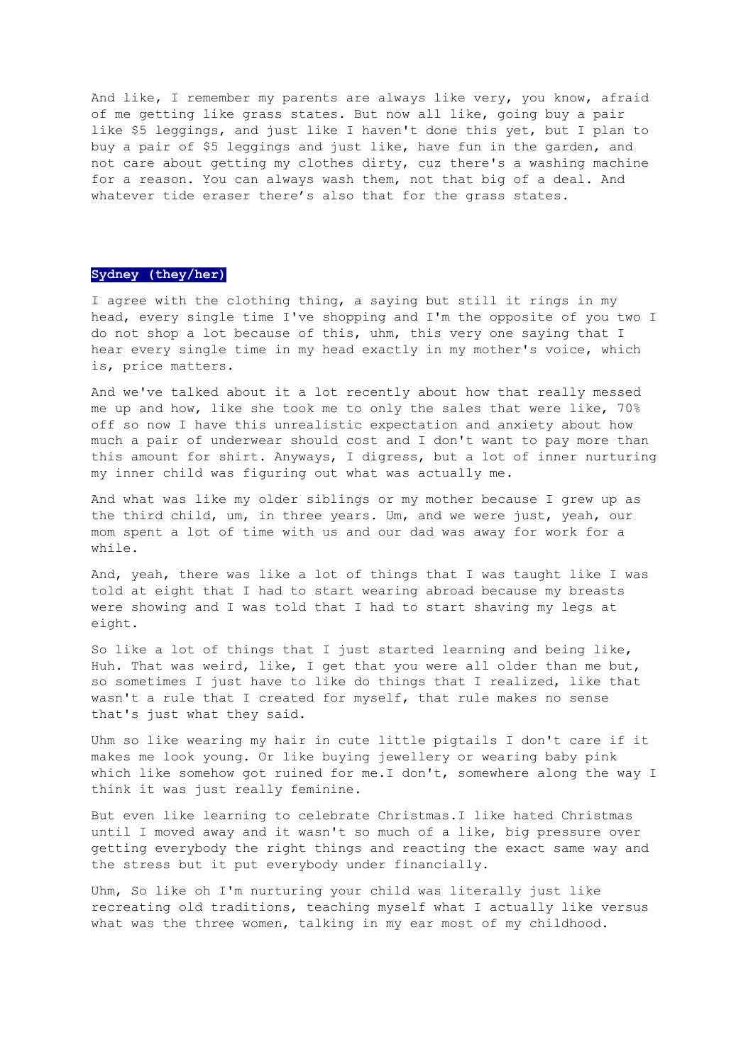And like, I remember my parents are always like very, you know, afraid of me getting like grass states. But now all like, going buy a pair like \$5 leggings, and just like I haven't done this yet, but I plan to buy a pair of \$5 leggings and just like, have fun in the garden, and not care about getting my clothes dirty, cuz there's a washing machine for a reason. You can always wash them, not that big of a deal. And whatever tide eraser there's also that for the grass states.

## **Sydney (they/her)**

I agree with the clothing thing, a saying but still it rings in my head, every single time I've shopping and I'm the opposite of you two I do not shop a lot because of this, uhm, this very one saying that I hear every single time in my head exactly in my mother's voice, which is, price matters.

And we've talked about it a lot recently about how that really messed me up and how, like she took me to only the sales that were like, 70% off so now I have this unrealistic expectation and anxiety about how much a pair of underwear should cost and I don't want to pay more than this amount for shirt. Anyways, I digress, but a lot of inner nurturing my inner child was figuring out what was actually me.

And what was like my older siblings or my mother because I grew up as the third child, um, in three years. Um, and we were just, yeah, our mom spent a lot of time with us and our dad was away for work for a while.

And, yeah, there was like a lot of things that I was taught like I was told at eight that I had to start wearing abroad because my breasts were showing and I was told that I had to start shaving my legs at eight.

So like a lot of things that I just started learning and being like, Huh. That was weird, like, I get that you were all older than me but, so sometimes I just have to like do things that I realized, like that wasn't a rule that I created for myself, that rule makes no sense that's just what they said.

Uhm so like wearing my hair in cute little pigtails I don't care if it makes me look young. Or like buying jewellery or wearing baby pink which like somehow got ruined for me.I don't, somewhere along the way I think it was just really feminine.

But even like learning to celebrate Christmas.I like hated Christmas until I moved away and it wasn't so much of a like, big pressure over getting everybody the right things and reacting the exact same way and the stress but it put everybody under financially.

Uhm, So like oh I'm nurturing your child was literally just like recreating old traditions, teaching myself what I actually like versus what was the three women, talking in my ear most of my childhood.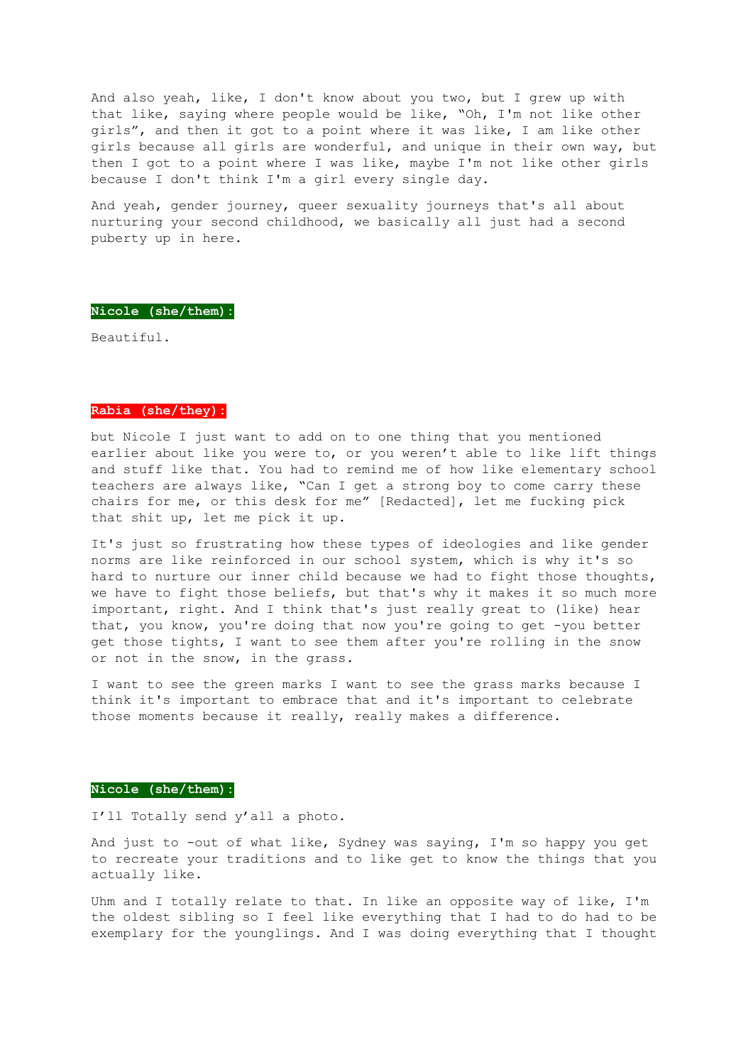And also yeah, like, I don't know about you two, but I grew up with that like, saying where people would be like, "Oh, I'm not like other girls", and then it got to a point where it was like, I am like other girls because all girls are wonderful, and unique in their own way, but then I got to a point where I was like, maybe I'm not like other girls because I don't think I'm a girl every single day.

And yeah, gender journey, queer sexuality journeys that's all about nurturing your second childhood, we basically all just had a second puberty up in here.

## **Nicole (she/them):**

Beautiful.

#### **Rabia (she/they):**

but Nicole I just want to add on to one thing that you mentioned earlier about like you were to, or you weren't able to like lift things and stuff like that. You had to remind me of how like elementary school teachers are always like, "Can I get a strong boy to come carry these chairs for me, or this desk for me" [Redacted], let me fucking pick that shit up, let me pick it up.

It's just so frustrating how these types of ideologies and like gender norms are like reinforced in our school system, which is why it's so hard to nurture our inner child because we had to fight those thoughts, we have to fight those beliefs, but that's why it makes it so much more important, right. And I think that's just really great to (like) hear that, you know, you're doing that now you're going to get -you better get those tights, I want to see them after you're rolling in the snow or not in the snow, in the grass.

I want to see the green marks I want to see the grass marks because I think it's important to embrace that and it's important to celebrate those moments because it really, really makes a difference.

#### **Nicole (she/them):**

I'll Totally send y'all a photo.

And just to -out of what like, Sydney was saying, I'm so happy you get to recreate your traditions and to like get to know the things that you actually like.

Uhm and I totally relate to that. In like an opposite way of like, I'm the oldest sibling so I feel like everything that I had to do had to be exemplary for the younglings. And I was doing everything that I thought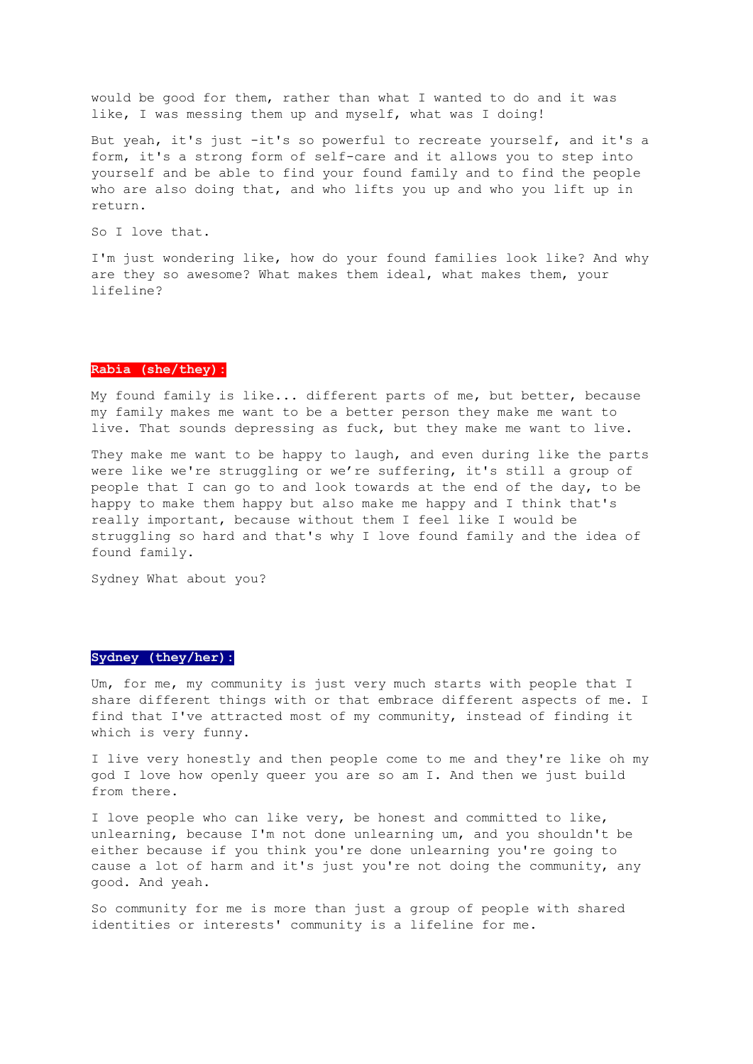would be good for them, rather than what I wanted to do and it was like, I was messing them up and myself, what was I doing!

But yeah, it's just -it's so powerful to recreate yourself, and it's a form, it's a strong form of self-care and it allows you to step into yourself and be able to find your found family and to find the people who are also doing that, and who lifts you up and who you lift up in return.

So I love that.

I'm just wondering like, how do your found families look like? And why are they so awesome? What makes them ideal, what makes them, your lifeline?

## **Rabia (she/they):**

My found family is like... different parts of me, but better, because my family makes me want to be a better person they make me want to live. That sounds depressing as fuck, but they make me want to live.

They make me want to be happy to laugh, and even during like the parts were like we're struggling or we're suffering, it's still a group of people that I can go to and look towards at the end of the day, to be happy to make them happy but also make me happy and I think that's really important, because without them I feel like I would be struggling so hard and that's why I love found family and the idea of found family.

Sydney What about you?

## **Sydney (they/her):**

Um, for me, my community is just very much starts with people that I share different things with or that embrace different aspects of me. I find that I've attracted most of my community, instead of finding it which is very funny.

I live very honestly and then people come to me and they're like oh my god I love how openly queer you are so am I. And then we just build from there.

I love people who can like very, be honest and committed to like, unlearning, because I'm not done unlearning um, and you shouldn't be either because if you think you're done unlearning you're going to cause a lot of harm and it's just you're not doing the community, any good. And yeah.

So community for me is more than just a group of people with shared identities or interests' community is a lifeline for me.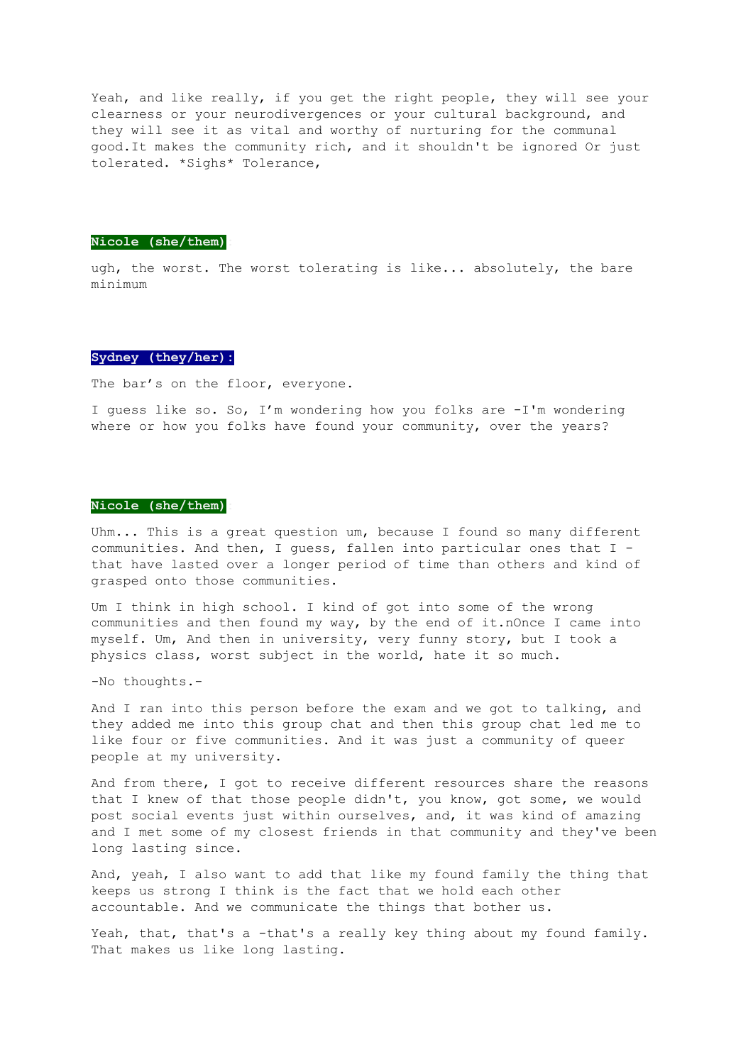Yeah, and like really, if you get the right people, they will see your clearness or your neurodivergences or your cultural background, and they will see it as vital and worthy of nurturing for the communal good.It makes the community rich, and it shouldn't be ignored Or just tolerated. \*Sighs\* Tolerance,

#### **Nicole (she/them):**

ugh, the worst. The worst tolerating is like... absolutely, the bare minimum

## **Sydney (they/her):**

The bar's on the floor, everyone.

I guess like so. So, I'm wondering how you folks are -I'm wondering where or how you folks have found your community, over the years?

#### **Nicole (she/them):**

Uhm... This is a great question um, because I found so many different communities. And then, I guess, fallen into particular ones that I that have lasted over a longer period of time than others and kind of grasped onto those communities.

Um I think in high school. I kind of got into some of the wrong communities and then found my way, by the end of it.nOnce I came into myself. Um, And then in university, very funny story, but I took a physics class, worst subject in the world, hate it so much.

-No thoughts.-

And I ran into this person before the exam and we got to talking, and they added me into this group chat and then this group chat led me to like four or five communities. And it was just a community of queer people at my university.

And from there, I got to receive different resources share the reasons that I knew of that those people didn't, you know, got some, we would post social events just within ourselves, and, it was kind of amazing and I met some of my closest friends in that community and they've been long lasting since.

And, yeah, I also want to add that like my found family the thing that keeps us strong I think is the fact that we hold each other accountable. And we communicate the things that bother us.

Yeah, that, that's a -that's a really key thing about my found family. That makes us like long lasting.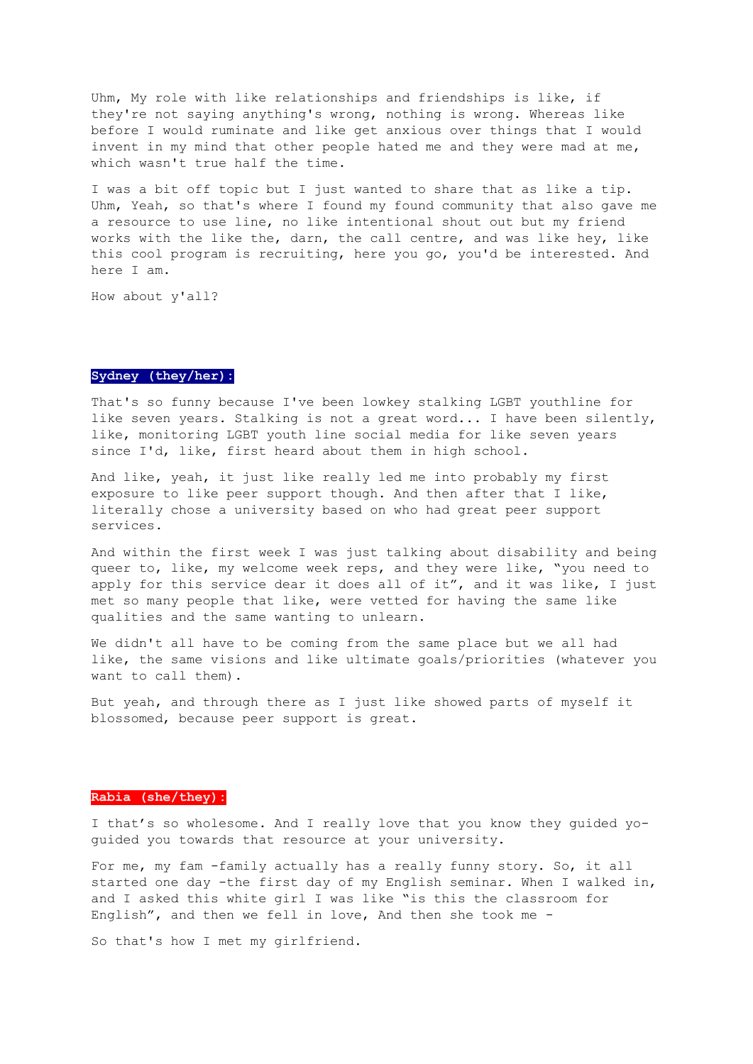Uhm, My role with like relationships and friendships is like, if they're not saying anything's wrong, nothing is wrong. Whereas like before I would ruminate and like get anxious over things that I would invent in my mind that other people hated me and they were mad at me, which wasn't true half the time.

I was a bit off topic but I just wanted to share that as like a tip. Uhm, Yeah, so that's where I found my found community that also gave me a resource to use line, no like intentional shout out but my friend works with the like the, darn, the call centre, and was like hey, like this cool program is recruiting, here you go, you'd be interested. And here I am.

How about y'all?

#### **Sydney (they/her):**

That's so funny because I've been lowkey stalking LGBT youthline for like seven years. Stalking is not a great word... I have been silently, like, monitoring LGBT youth line social media for like seven years since I'd, like, first heard about them in high school.

And like, yeah, it just like really led me into probably my first exposure to like peer support though. And then after that I like, literally chose a university based on who had great peer support services.

And within the first week I was just talking about disability and being queer to, like, my welcome week reps, and they were like, "you need to apply for this service dear it does all of it", and it was like, I just met so many people that like, were vetted for having the same like qualities and the same wanting to unlearn.

We didn't all have to be coming from the same place but we all had like, the same visions and like ultimate goals/priorities (whatever you want to call them).

But yeah, and through there as I just like showed parts of myself it blossomed, because peer support is great.

#### **Rabia (she/they):**

I that's so wholesome. And I really love that you know they guided yoguided you towards that resource at your university.

For me, my fam -family actually has a really funny story. So, it all started one day -the first day of my English seminar. When I walked in, and I asked this white girl I was like "is this the classroom for English", and then we fell in love, And then she took me -

So that's how I met my girlfriend.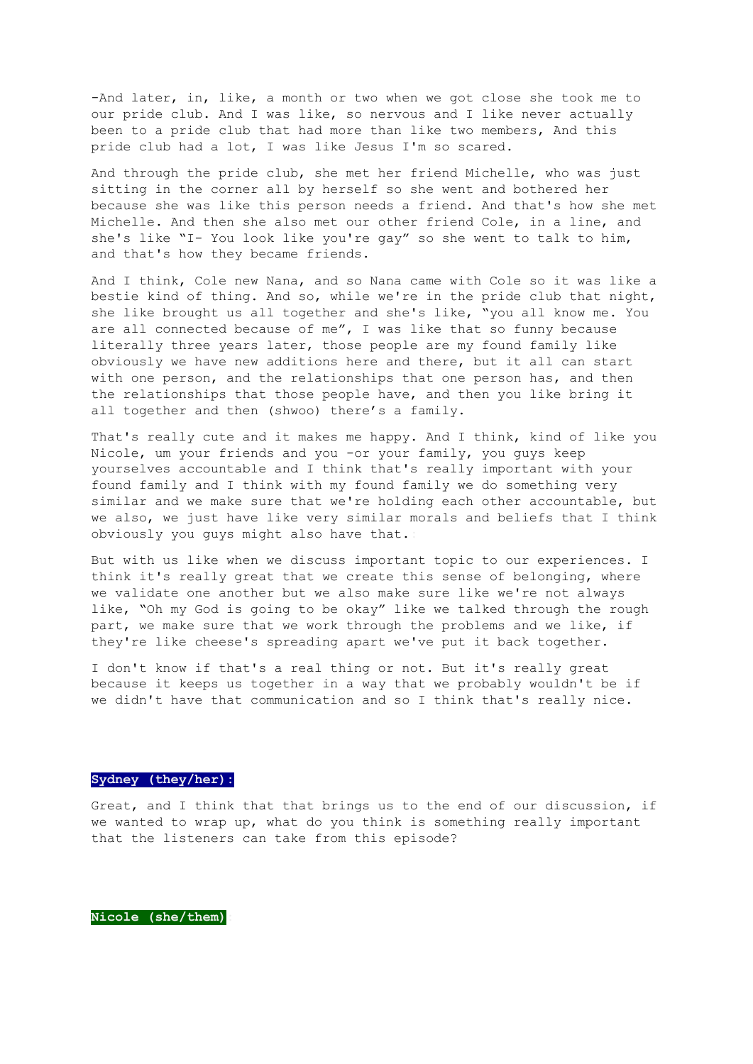-And later, in, like, a month or two when we got close she took me to our pride club. And I was like, so nervous and I like never actually been to a pride club that had more than like two members, And this pride club had a lot, I was like Jesus I'm so scared.

And through the pride club, she met her friend Michelle, who was just sitting in the corner all by herself so she went and bothered her because she was like this person needs a friend. And that's how she met Michelle. And then she also met our other friend Cole, in a line, and she's like "I- You look like you're gay" so she went to talk to him, and that's how they became friends.

And I think, Cole new Nana, and so Nana came with Cole so it was like a bestie kind of thing. And so, while we're in the pride club that night, she like brought us all together and she's like, "you all know me. You are all connected because of me", I was like that so funny because literally three years later, those people are my found family like obviously we have new additions here and there, but it all can start with one person, and the relationships that one person has, and then the relationships that those people have, and then you like bring it all together and then (shwoo) there's a family.

That's really cute and it makes me happy. And I think, kind of like you Nicole, um your friends and you -or your family, you guys keep yourselves accountable and I think that's really important with your found family and I think with my found family we do something very similar and we make sure that we're holding each other accountable, but we also, we just have like very similar morals and beliefs that I think obviously you guys might also have that.**:**

But with us like when we discuss important topic to our experiences. I think it's really great that we create this sense of belonging, where we validate one another but we also make sure like we're not always like, "Oh my God is going to be okay" like we talked through the rough part, we make sure that we work through the problems and we like, if they're like cheese's spreading apart we've put it back together.

I don't know if that's a real thing or not. But it's really great because it keeps us together in a way that we probably wouldn't be if we didn't have that communication and so I think that's really nice.

## **Sydney (they/her):**

Great, and I think that that brings us to the end of our discussion, if we wanted to wrap up, what do you think is something really important that the listeners can take from this episode?

**Nicole (she/them):**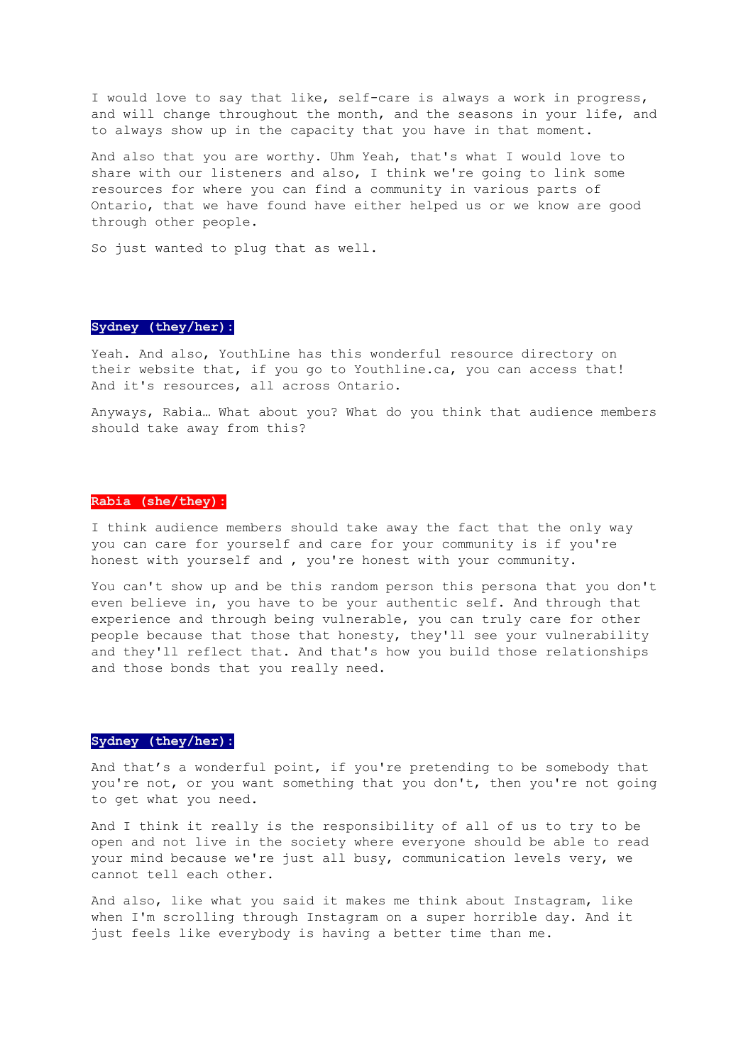I would love to say that like, self-care is always a work in progress, and will change throughout the month, and the seasons in your life, and to always show up in the capacity that you have in that moment.

And also that you are worthy. Uhm Yeah, that's what I would love to share with our listeners and also, I think we're going to link some resources for where you can find a community in various parts of Ontario, that we have found have either helped us or we know are good through other people.

So just wanted to plug that as well.

## **Sydney (they/her):**

Yeah. And also, YouthLine has this wonderful resource directory on their website that, if you go to Youthline.ca, you can access that! And it's resources, all across Ontario.

Anyways, Rabia… What about you? What do you think that audience members should take away from this?

#### **Rabia (she/they):**

I think audience members should take away the fact that the only way you can care for yourself and care for your community is if you're honest with yourself and , you're honest with your community.

You can't show up and be this random person this persona that you don't even believe in, you have to be your authentic self. And through that experience and through being vulnerable, you can truly care for other people because that those that honesty, they'll see your vulnerability and they'll reflect that. And that's how you build those relationships and those bonds that you really need.

### **Sydney (they/her):**

And that's a wonderful point, if you're pretending to be somebody that you're not, or you want something that you don't, then you're not going to get what you need.

And I think it really is the responsibility of all of us to try to be open and not live in the society where everyone should be able to read your mind because we're just all busy, communication levels very, we cannot tell each other.

And also, like what you said it makes me think about Instagram, like when I'm scrolling through Instagram on a super horrible day. And it just feels like everybody is having a better time than me.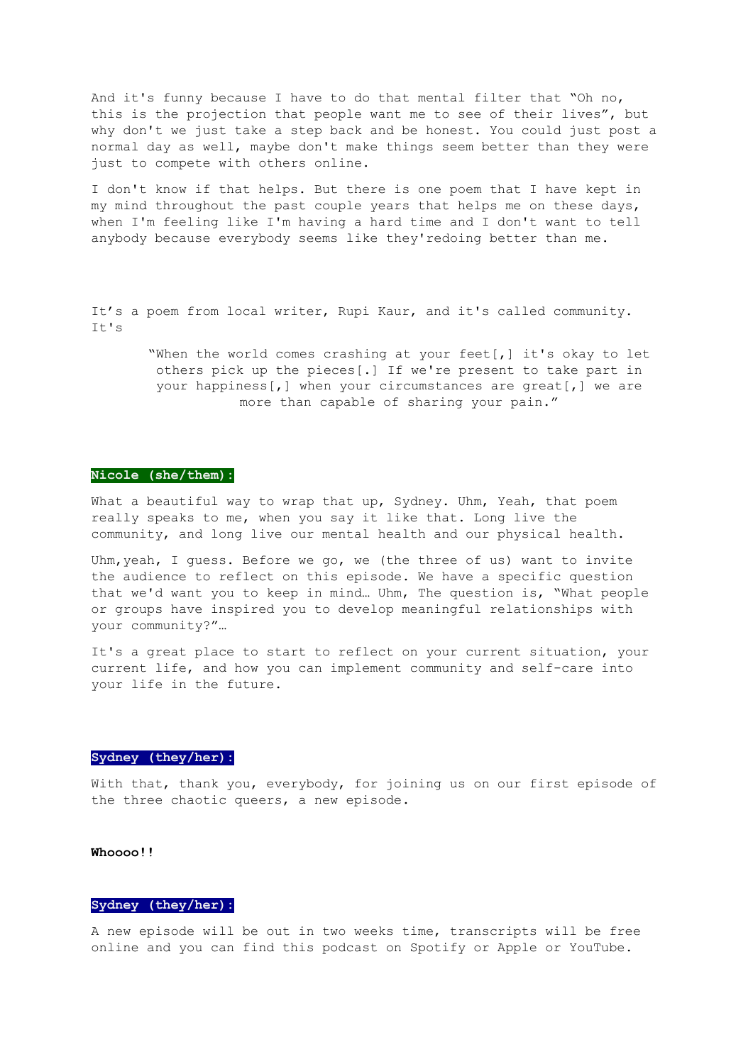And it's funny because I have to do that mental filter that "Oh no, this is the projection that people want me to see of their lives", but why don't we just take a step back and be honest. You could just post a normal day as well, maybe don't make things seem better than they were just to compete with others online.

I don't know if that helps. But there is one poem that I have kept in my mind throughout the past couple years that helps me on these days, when I'm feeling like I'm having a hard time and I don't want to tell anybody because everybody seems like they'redoing better than me.

It's a poem from local writer, Rupi Kaur, and it's called community. It's

> "When the world comes crashing at your feet[,] it's okay to let others pick up the pieces[.] If we're present to take part in your happiness[,] when your circumstances are great[,] we are more than capable of sharing your pain."

#### **Nicole (she/them):**

What a beautiful way to wrap that up, Sydney. Uhm, Yeah, that poem really speaks to me, when you say it like that. Long live the community, and long live our mental health and our physical health.

Uhm, yeah, I quess. Before we go, we (the three of us) want to invite the audience to reflect on this episode. We have a specific question that we'd want you to keep in mind… Uhm, The question is, "What people or groups have inspired you to develop meaningful relationships with your community?"…

It's a great place to start to reflect on your current situation, your current life, and how you can implement community and self-care into your life in the future.

## **Sydney (they/her):**

With that, thank you, everybody, for joining us on our first episode of the three chaotic queers, a new episode.

## **Whoooo!!**

## **Sydney (they/her):**

A new episode will be out in two weeks time, transcripts will be free online and you can find this podcast on Spotify or Apple or YouTube.